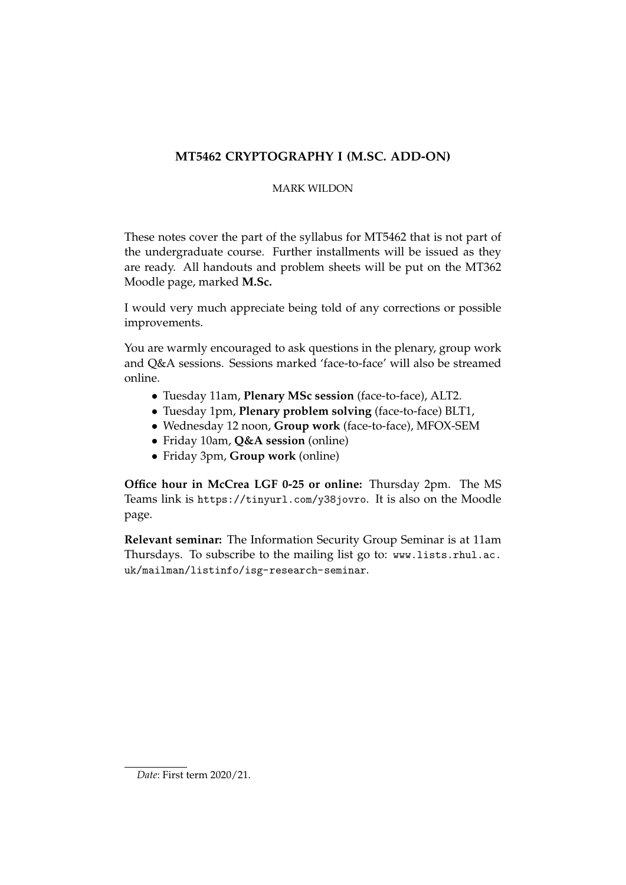# **MT5462 CRYPTOGRAPHY I (M.SC. ADD-ON)**

# MARK WILDON

These notes cover the part of the syllabus for MT5462 that is not part of the undergraduate course. Further installments will be issued as they are ready. All handouts and problem sheets will be put on the MT362 Moodle page, marked **M.Sc.**

I would very much appreciate being told of any corrections or possible improvements.

You are warmly encouraged to ask questions in the plenary, group work and Q&A sessions. Sessions marked 'face-to-face' will also be streamed online.

- Tuesday 11am, **Plenary MSc session** (face-to-face), ALT2.
- Tuesday 1pm, **Plenary problem solving** (face-to-face) BLT1,
- Wednesday 12 noon, **Group work** (face-to-face), MFOX-SEM
- Friday 10am, **Q&A session** (online)
- Friday 3pm, **Group work** (online)

**Office hour in McCrea LGF 0-25 or online:** Thursday 2pm. The MS Teams link is https://tinyurl.com/y38jovro. It is also on the Moodle page.

**Relevant seminar:** The Information Security Group Seminar is at 11am Thursdays. To subscribe to the mailing list go to: www.lists.rhul.ac. uk/mailman/listinfo/isg-research-seminar.

*Date*: First term 2020/21.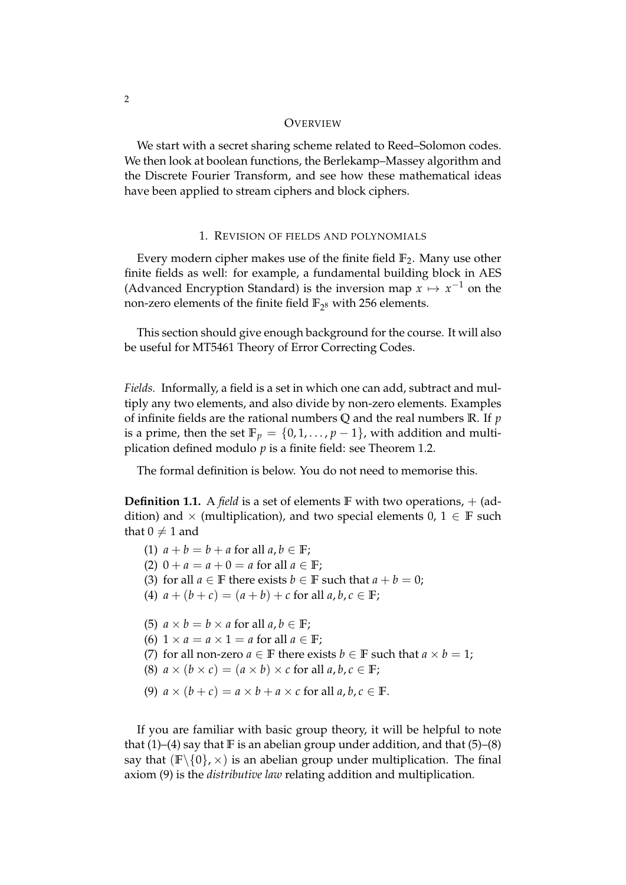#### **OVERVIEW**

We start with a secret sharing scheme related to Reed–Solomon codes. We then look at boolean functions, the Berlekamp–Massey algorithm and the Discrete Fourier Transform, and see how these mathematical ideas have been applied to stream ciphers and block ciphers.

### 1. REVISION OF FIELDS AND POLYNOMIALS

Every modern cipher makes use of the finite field **F**2. Many use other finite fields as well: for example, a fundamental building block in AES (Advanced Encryption Standard) is the inversion map  $x \mapsto x^{-1}$  on the non-zero elements of the finite field  $\mathbb{F}_{2^8}$  with 256 elements.

This section should give enough background for the course. It will also be useful for MT5461 Theory of Error Correcting Codes.

*Fields.* Informally, a field is a set in which one can add, subtract and multiply any two elements, and also divide by non-zero elements. Examples of infinite fields are the rational numbers **Q** and the real numbers **R**. If *p* is a prime, then the set  $\mathbb{F}_p = \{0, 1, \ldots, p-1\}$ , with addition and multiplication defined modulo *p* is a finite field: see Theorem 1.2.

The formal definition is below. You do not need to memorise this.

**Definition 1.1.** A *field* is a set of elements **F** with two operations, + (addition) and  $\times$  (multiplication), and two special elements 0, 1  $\in$  **F** such that  $0 \neq 1$  and

(1)  $a + b = b + a$  for all  $a, b \in \mathbb{F}$ ; (2)  $0 + a = a + 0 = a$  for all  $a \in \mathbb{F}$ ; (3) for all  $a \in \mathbb{F}$  there exists  $b \in \mathbb{F}$  such that  $a + b = 0$ ; (4)  $a + (b + c) = (a + b) + c$  for all  $a, b, c \in \mathbb{F}$ ; (5)  $a \times b = b \times a$  for all  $a, b \in \mathbb{F}$ ; (6)  $1 \times a = a \times 1 = a$  for all  $a \in \mathbb{F}$ ; (7) for all non-zero  $a \in \mathbb{F}$  there exists  $b \in \mathbb{F}$  such that  $a \times b = 1$ ; (8)  $a \times (b \times c) = (a \times b) \times c$  for all  $a, b, c \in \mathbb{F}$ ; (9)  $a \times (b + c) = a \times b + a \times c$  for all  $a, b, c \in \mathbb{F}$ .

If you are familiar with basic group theory, it will be helpful to note that (1)–(4) say that **F** is an abelian group under addition, and that (5)–(8) say that  $(\mathbb{F}\backslash \{0\}, \times)$  is an abelian group under multiplication. The final axiom (9) is the *distributive law* relating addition and multiplication.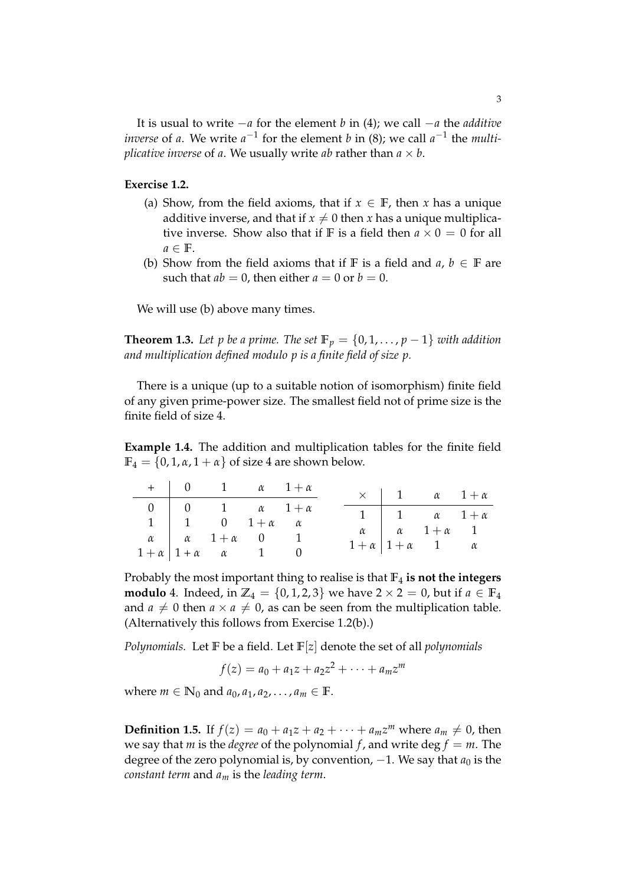It is usual to write −*a* for the element *b* in (4); we call −*a* the *additive inverse* of *a*. We write  $a^{-1}$  for the element *b* in (8); we call  $a^{-1}$  the *multiplicative inverse* of *a*. We usually write *ab* rather than  $a \times b$ .

### **Exercise 1.2.**

- (a) Show, from the field axioms, that if  $x \in \mathbb{F}$ , then *x* has a unique additive inverse, and that if  $x \neq 0$  then *x* has a unique multiplicative inverse. Show also that if **F** is a field then  $a \times 0 = 0$  for all  $a \in \mathbb{F}$ .
- (b) Show from the field axioms that if **F** is a field and  $a, b \in$  **F** are such that  $ab = 0$ , then either  $a = 0$  or  $b = 0$ .

We will use (b) above many times.

**Theorem 1.3.** Let p be a prime. The set  $\mathbb{F}_p = \{0, 1, \ldots, p-1\}$  with addition *and multiplication defined modulo p is a finite field of size p.*

There is a unique (up to a suitable notion of isomorphism) finite field of any given prime-power size. The smallest field not of prime size is the finite field of size 4.

**Example 1.4.** The addition and multiplication tables for the finite field  $\mathbb{F}_4 = \{0, 1, \alpha, 1 + \alpha\}$  of size 4 are shown below.

|  | $+$ 0 1 $\alpha$ 1 + $\alpha$                                                                                    |  |  | $\times$ 1 $\alpha$ 1+ $\alpha$                                                                                                              |  |
|--|------------------------------------------------------------------------------------------------------------------|--|--|----------------------------------------------------------------------------------------------------------------------------------------------|--|
|  |                                                                                                                  |  |  |                                                                                                                                              |  |
|  | $\begin{array}{c cc} 0 & 0 & 1 & \alpha & 1+\alpha \ 1 & 1 & 0 & 1+\alpha & \alpha \end{array}$                  |  |  |                                                                                                                                              |  |
|  |                                                                                                                  |  |  | $\begin{array}{ c c } \hline 1&1&\alpha&1+\alpha \ \hline \alpha&\alpha&1+\alpha&1 \ \hline 1+\alpha&1+\alpha&1&\alpha \ \hline \end{array}$ |  |
|  | $\begin{array}{c cccc}\n\alpha & \alpha & 1+\alpha & 0 & 1 \\ 1+\alpha & 1+\alpha & \alpha & 1 & 0\n\end{array}$ |  |  |                                                                                                                                              |  |

Probably the most important thing to realise is that **F**<sup>4</sup> **is not the integers modulo** 4. Indeed, in  $\mathbb{Z}_4 = \{0, 1, 2, 3\}$  we have 2 × 2 = 0, but if *a* ∈ **F**<sub>4</sub> and  $a \neq 0$  then  $a \times a \neq 0$ , as can be seen from the multiplication table. (Alternatively this follows from Exercise 1.2(b).)

*Polynomials.* Let **F** be a field. Let **F**[*z*] denote the set of all *polynomials*

$$
f(z) = a_0 + a_1 z + a_2 z^2 + \dots + a_m z^m
$$

where  $m \in \mathbb{N}_0$  and  $a_0, a_1, a_2, ..., a_m \in \mathbb{F}$ .

**Definition 1.5.** If  $f(z) = a_0 + a_1z + a_2 + \cdots + a_mz^m$  where  $a_m \neq 0$ , then we say that *m* is the *degree* of the polynomial *f*, and write deg  $f = m$ . The degree of the zero polynomial is, by convention,  $-1$ . We say that  $a_0$  is the *constant term* and *a<sup>m</sup>* is the *leading term*.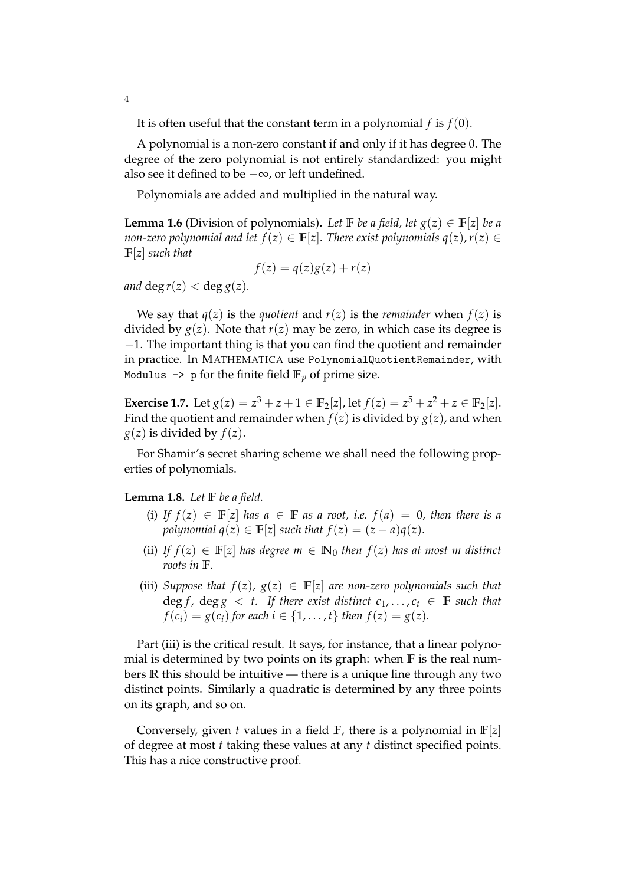It is often useful that the constant term in a polynomial  $f$  is  $f(0)$ .

A polynomial is a non-zero constant if and only if it has degree 0. The degree of the zero polynomial is not entirely standardized: you might also see it defined to be  $-\infty$ , or left undefined.

Polynomials are added and multiplied in the natural way.

**Lemma 1.6** (Division of polynomials). Let **F** be a field, let  $g(z) \in \mathbb{F}[z]$  be a *non-zero polynomial and let*  $f(z) \in F[z]$ *. There exist polynomials*  $q(z)$ *, r(z)*  $\in$ **F**[*z*] *such that*

$$
f(z) = q(z)g(z) + r(z)
$$

*and*  $\deg r(z) < \deg g(z)$ *.* 

We say that  $q(z)$  is the *quotient* and  $r(z)$  is the *remainder* when  $f(z)$  is divided by  $g(z)$ . Note that  $r(z)$  may be zero, in which case its degree is −1. The important thing is that you can find the quotient and remainder in practice. In MATHEMATICA use PolynomialQuotientRemainder, with Modulus  $\rightarrow$  p for the finite field  $\mathbb{F}_p$  of prime size.

**Exercise 1.7.** Let  $g(z) = z^3 + z + 1 \in \mathbb{F}_2[z]$ , let  $f(z) = z^5 + z^2 + z \in \mathbb{F}_2[z]$ . Find the quotient and remainder when  $f(z)$  is divided by  $g(z)$ , and when  $g(z)$  is divided by  $f(z)$ .

For Shamir's secret sharing scheme we shall need the following properties of polynomials.

**Lemma 1.8.** *Let* **F** *be a field.*

- (i) If  $f(z) \in F[z]$  has  $a \in F$  as a root, i.e.  $f(a) = 0$ , then there is a *polynomial*  $q(z) \in F[z]$  *such that*  $f(z) = (z - a)q(z)$ *.*
- (ii) If  $f(z) \in F[z]$  has degree  $m \in \mathbb{N}_0$  then  $f(z)$  has at most m distinct *roots in* **F***.*
- (iii) *Suppose that*  $f(z)$ ,  $g(z) \in F[z]$  *are non-zero polynomials such that* deg *f*, deg  $g \leq t$ . If there exist distinct  $c_1, \ldots, c_t \in \mathbb{F}$  such that *f*(*c*<sub>*i*</sub>) = *g*(*c*<sub>*i*</sub>) *for each i*  $\in$  {1*, . . . , t*} *then f*(*z*) = *g*(*z*)*.*

Part (iii) is the critical result. It says, for instance, that a linear polynomial is determined by two points on its graph: when **F** is the real numbers **R** this should be intuitive — there is a unique line through any two distinct points. Similarly a quadratic is determined by any three points on its graph, and so on.

Conversely, given *t* values in a field  $\mathbb{F}$ , there is a polynomial in  $\mathbb{F}[z]$ of degree at most *t* taking these values at any *t* distinct specified points. This has a nice constructive proof.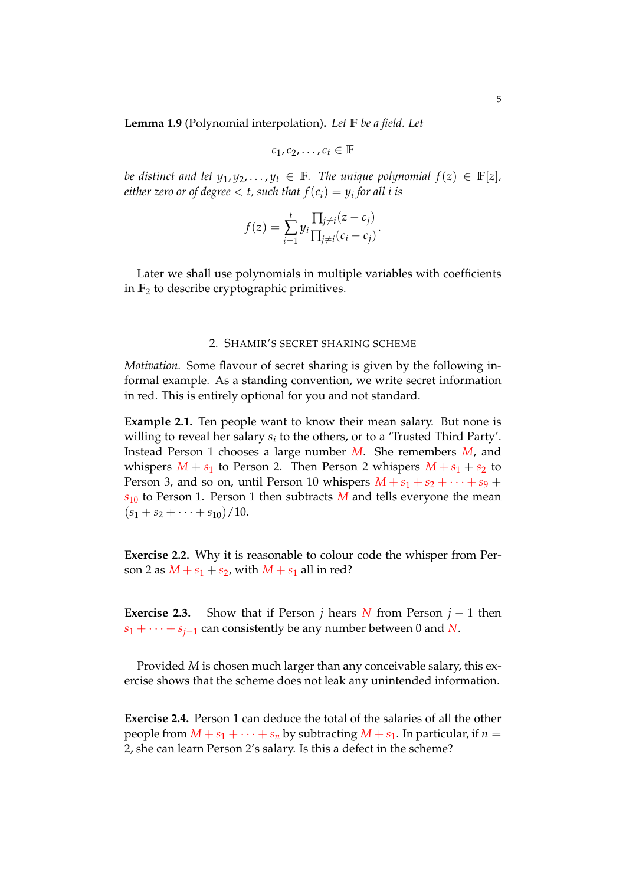**Lemma 1.9** (Polynomial interpolation)**.** *Let* **F** *be a field. Let*

$$
c_1,c_2,\ldots,c_t\in\mathbb{F}
$$

*be distinct and let*  $y_1, y_2, \ldots, y_t \in \mathbb{F}$ *. The unique polynomial*  $f(z) \in \mathbb{F}[z]$ *, either zero or of degree* < *t, such that f*(*ci*) = *y<sup>i</sup> for all i is*

$$
f(z) = \sum_{i=1}^t y_i \frac{\prod_{j\neq i} (z - c_j)}{\prod_{j\neq i} (c_i - c_j)}.
$$

Later we shall use polynomials in multiple variables with coefficients in  $\mathbb{F}_2$  to describe cryptographic primitives.

### 2. SHAMIR'S SECRET SHARING SCHEME

*Motivation.* Some flavour of secret sharing is given by the following informal example. As a standing convention, we write secret information in red. This is entirely optional for you and not standard.

**Example 2.1.** Ten people want to know their mean salary. But none is willing to reveal her salary  $s_i$  to the others, or to a 'Trusted Third Party'. Instead Person 1 chooses a large number *M*. She remembers *M*, and whispers  $M + s_1$  to Person 2. Then Person 2 whispers  $M + s_1 + s_2$  to Person 3, and so on, until Person 10 whispers  $M + s_1 + s_2 + \cdots + s_9 +$  $s_{10}$  to Person 1. Person 1 then subtracts *M* and tells everyone the mean  $(s_1 + s_2 + \cdots + s_{10})/10$ .

**Exercise 2.2.** Why it is reasonable to colour code the whisper from Person 2 as  $M + s_1 + s_2$ , with  $M + s_1$  all in red?

**Exercise 2.3.** Show that if Person *j* hears *N* from Person  $j - 1$  then  $s_1 + \cdots + s_{i-1}$  can consistently be any number between 0 and *N*.

Provided *M* is chosen much larger than any conceivable salary, this exercise shows that the scheme does not leak any unintended information.

**Exercise 2.4.** Person 1 can deduce the total of the salaries of all the other people from  $M + s_1 + \cdots + s_n$  by subtracting  $M + s_1$ . In particular, if  $n =$ 2, she can learn Person 2's salary. Is this a defect in the scheme?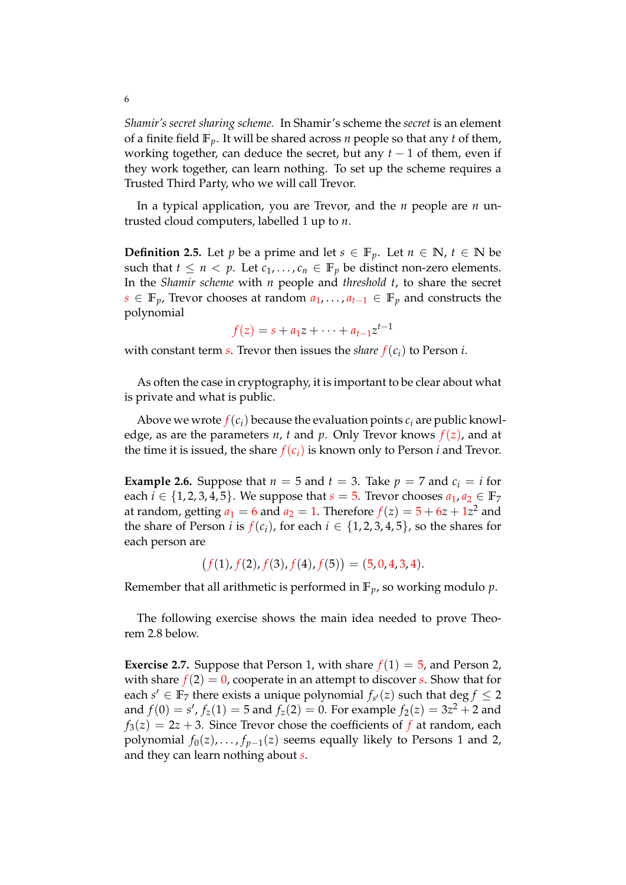*Shamir's secret sharing scheme.* In Shamir's scheme the *secret* is an element of a finite field **F***p*. It will be shared across *n* people so that any *t* of them, working together, can deduce the secret, but any *t* − 1 of them, even if they work together, can learn nothing. To set up the scheme requires a Trusted Third Party, who we will call Trevor.

In a typical application, you are Trevor, and the *n* people are *n* untrusted cloud computers, labelled 1 up to *n*.

**Definition 2.5.** Let *p* be a prime and let  $s \in \mathbb{F}_p$ . Let  $n \in \mathbb{N}$ ,  $t \in \mathbb{N}$  be such that  $t \leq n < p$ . Let  $c_1, \ldots, c_n \in \mathbb{F}_p$  be distinct non-zero elements. In the *Shamir scheme* with *n* people and *threshold t*, to share the secret *s* ∈ **F***p*, Trevor chooses at random *a*1, . . . , *at*−<sup>1</sup> ∈ **F***<sup>p</sup>* and constructs the polynomial

$$
f(z) = s + a_1 z + \dots + a_{t-1} z^{t-1}
$$

with constant term *s*. Trevor then issues the *share*  $f(c_i)$  to Person *i*.

As often the case in cryptography, it is important to be clear about what is private and what is public.

Above we wrote  $f(c_i)$  because the evaluation points  $c_i$  are public knowledge, as are the parameters *n*, *t* and *p*. Only Trevor knows  $f(z)$ , and at the time it is issued, the share  $f(c_i)$  is known only to Person *i* and Trevor.

**Example 2.6.** Suppose that  $n = 5$  and  $t = 3$ . Take  $p = 7$  and  $c_i = i$  for each  $i \in \{1, 2, 3, 4, 5\}$ . We suppose that  $s = 5$ . Trevor chooses  $a_1, a_2 \in \mathbb{F}_7$ at random, getting  $a_1 = 6$  and  $a_2 = 1$ . Therefore  $f(z) = 5 + 6z + 1z^2$  and the share of Person *i* is  $f(c_i)$ , for each  $i \in \{1, 2, 3, 4, 5\}$ , so the shares for each person are

 $f(f(1), f(2), f(3), f(4), f(5)) = (5, 0, 4, 3, 4).$ 

Remember that all arithmetic is performed in **F***p*, so working modulo *p*.

The following exercise shows the main idea needed to prove Theorem 2.8 below.

**Exercise 2.7.** Suppose that Person 1, with share  $f(1) = 5$ , and Person 2, with share  $f(2) = 0$ , cooperate in an attempt to discover *s*. Show that for each  $s' \in \mathbb{F}_7$  there exists a unique polynomial  $f_{s'}(z)$  such that  $\deg f \leq 2$ and  $f(0) = s'$ ,  $f_z(1) = 5$  and  $f_{\overline{z}}(2) = 0$ . For example  $f_2(z) = 3z^2 + 2$  and  $f_3(z) = 2z + 3$ . Since Trevor chose the coefficients of *f* at random, each polynomial  $f_0(z), \ldots, f_{p-1}(z)$  seems equally likely to Persons 1 and 2, and they can learn nothing about *s*.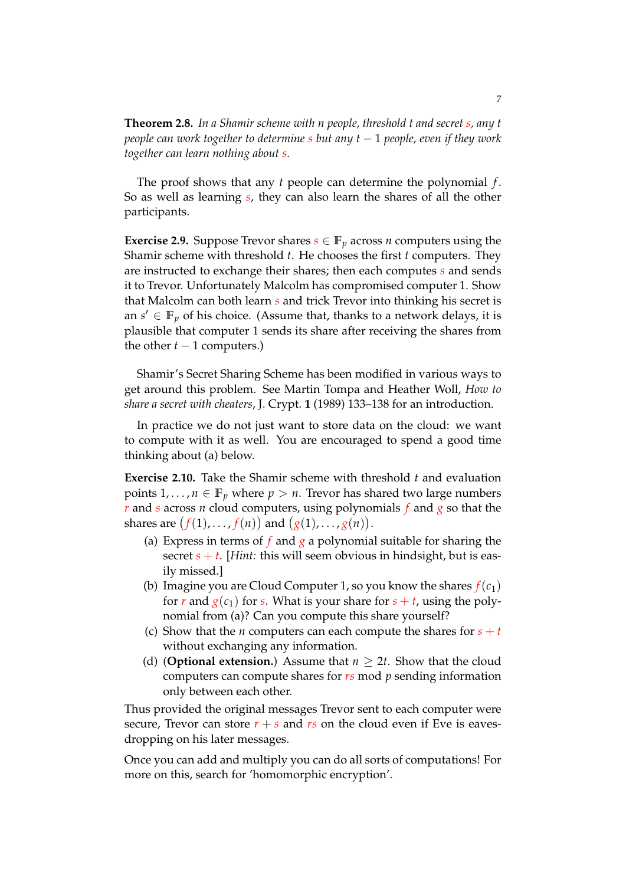**Theorem 2.8.** *In a Shamir scheme with n people, threshold t and secret s, any t people can work together to determine s but any t* − 1 *people, even if they work together can learn nothing about s.*

The proof shows that any *t* people can determine the polynomial *f* . So as well as learning *s*, they can also learn the shares of all the other participants.

**Exercise 2.9.** Suppose Trevor shares  $s \in \mathbb{F}_p$  across *n* computers using the Shamir scheme with threshold *t*. He chooses the first *t* computers. They are instructed to exchange their shares; then each computes *s* and sends it to Trevor. Unfortunately Malcolm has compromised computer 1. Show that Malcolm can both learn *s* and trick Trevor into thinking his secret is an  $s' \in \mathbb{F}_p$  of his choice. (Assume that, thanks to a network delays, it is plausible that computer 1 sends its share after receiving the shares from the other  $t - 1$  computers.)

Shamir's Secret Sharing Scheme has been modified in various ways to get around this problem. See Martin Tompa and Heather Woll, *How to share a secret with cheaters*, J. Crypt. **1** (1989) 133–138 for an introduction.

In practice we do not just want to store data on the cloud: we want to compute with it as well. You are encouraged to spend a good time thinking about (a) below.

**Exercise 2.10.** Take the Shamir scheme with threshold *t* and evaluation points  $1, \ldots, n \in \mathbb{F}_p$  where  $p > n$ . Trevor has shared two large numbers *r* and *s* across *n* cloud computers, using polynomials *f* and *g* so that the shares are  $(f(1),..., f(n))$  and  $(g(1),..., g(n))$ .

- (a) Express in terms of *f* and *g* a polynomial suitable for sharing the secret  $s + t$ . [*Hint:* this will seem obvious in hindsight, but is easily missed.]
- (b) Imagine you are Cloud Computer 1, so you know the shares  $f(c_1)$ for *r* and  $g(c_1)$  for *s*. What is your share for  $s + t$ , using the polynomial from (a)? Can you compute this share yourself?
- (c) Show that the *n* computers can each compute the shares for  $s + t$ without exchanging any information.
- (d) **(Optional extension.)** Assume that  $n > 2t$ . Show that the cloud computers can compute shares for *rs* mod *p* sending information only between each other.

Thus provided the original messages Trevor sent to each computer were secure, Trevor can store  $r + s$  and  $rs$  on the cloud even if Eve is eavesdropping on his later messages.

Once you can add and multiply you can do all sorts of computations! For more on this, search for 'homomorphic encryption'.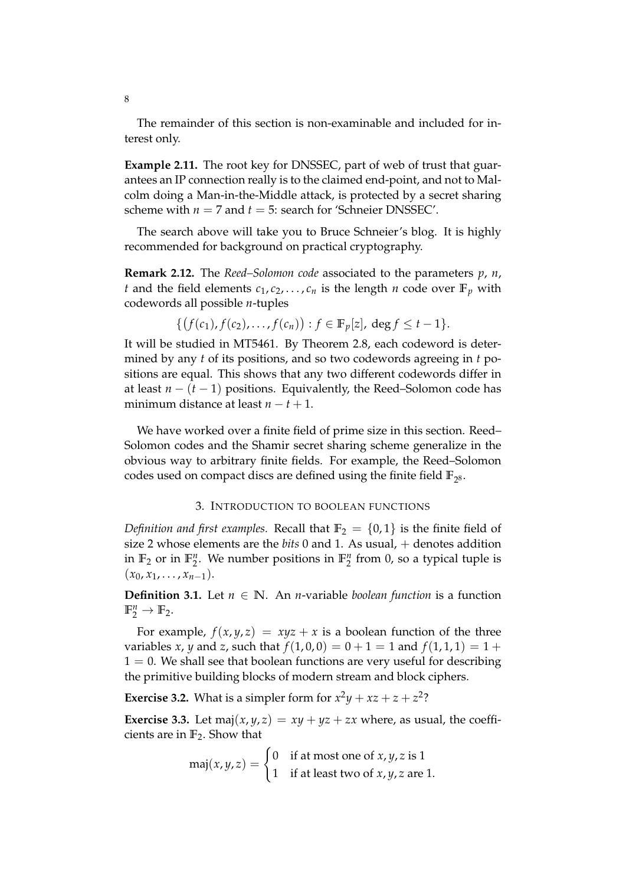The remainder of this section is non-examinable and included for interest only.

**Example 2.11.** The root key for DNSSEC, part of web of trust that guarantees an IP connection really is to the claimed end-point, and not to Malcolm doing a Man-in-the-Middle attack, is protected by a secret sharing scheme with  $n = 7$  and  $t = 5$ : search for 'Schneier DNSSEC'.

The search above will take you to Bruce Schneier's blog. It is highly recommended for background on practical cryptography.

**Remark 2.12.** The *Reed–Solomon code* associated to the parameters *p*, *n*, *t* and the field elements  $c_1, c_2, \ldots, c_n$  is the length *n* code over  $\mathbb{F}_p$  with codewords all possible *n*-tuples

$$
\{ (f(c_1), f(c_2), \ldots, f(c_n)) : f \in \mathbb{F}_p[z], \deg f \leq t-1 \}.
$$

It will be studied in MT5461. By Theorem 2.8, each codeword is determined by any *t* of its positions, and so two codewords agreeing in *t* positions are equal. This shows that any two different codewords differ in at least *n* − (*t* − 1) positions. Equivalently, the Reed–Solomon code has minimum distance at least *n* − *t* + 1.

We have worked over a finite field of prime size in this section. Reed– Solomon codes and the Shamir secret sharing scheme generalize in the obvious way to arbitrary finite fields. For example, the Reed–Solomon codes used on compact discs are defined using the finite field  $\mathbb{F}_{2^8}$ .

### 3. INTRODUCTION TO BOOLEAN FUNCTIONS

*Definition and first examples.* Recall that  $\mathbb{F}_2 = \{0,1\}$  is the finite field of size 2 whose elements are the *bits* 0 and 1. As usual, + denotes addition in  $\mathbb{F}_2$  or in  $\mathbb{F}_2^n$ . We number positions in  $\mathbb{F}_2^n$  from 0, so a typical tuple is  $(x_0, x_1, \ldots, x_{n-1}).$ 

**Definition 3.1.** Let  $n \in \mathbb{N}$ . An *n*-variable *boolean function* is a function  $\mathbb{F}_2^n \to \mathbb{F}_2$ .

For example,  $f(x, y, z) = xyz + x$  is a boolean function of the three variables *x*, *y* and *z*, such that  $f(1, 0, 0) = 0 + 1 = 1$  and  $f(1, 1, 1) = 1 +$  $1 = 0$ . We shall see that boolean functions are very useful for describing the primitive building blocks of modern stream and block ciphers.

**Exercise 3.2.** What is a simpler form for  $x^2y + xz + z + z^2$ ?

**Exercise 3.3.** Let maj $(x, y, z) = xy + yz + zx$  where, as usual, the coefficients are in **F**2. Show that

$$
maj(x, y, z) = \begin{cases} 0 & \text{if at most one of } x, y, z \text{ is 1} \\ 1 & \text{if at least two of } x, y, z \text{ are 1.} \end{cases}
$$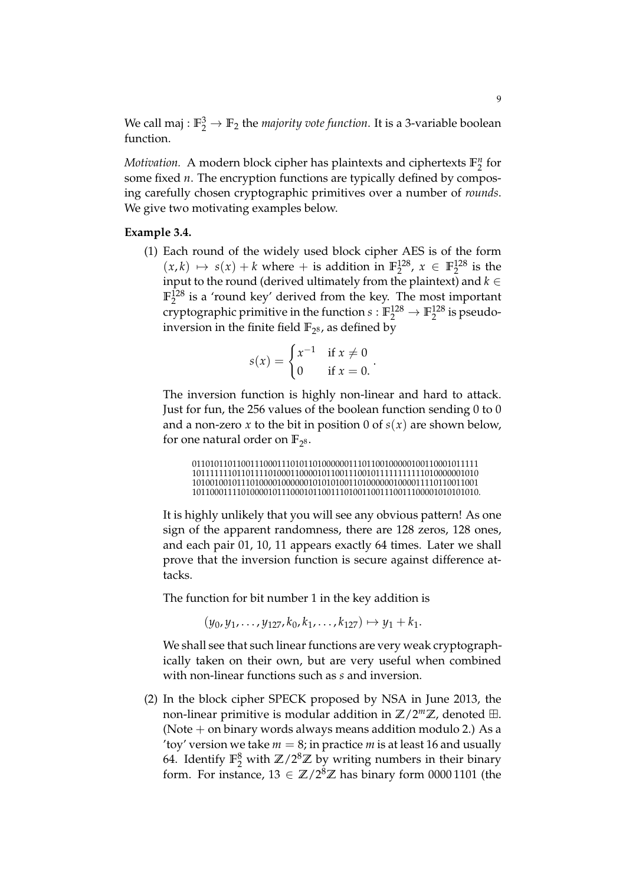We call maj :  $\mathbb{F}_2^3 \to \mathbb{F}_2$  the *majority vote function*. It is a 3-variable boolean function.

*Motivation.* A modern block cipher has plaintexts and ciphertexts  $\mathbb{F}_2^n$  for some fixed *n*. The encryption functions are typically defined by composing carefully chosen cryptographic primitives over a number of *rounds*. We give two motivating examples below.

### **Example 3.4.**

(1) Each round of the widely used block cipher AES is of the form  $(x, k) \mapsto s(x) + k$  where + is addition in  $\mathbb{F}_2^{128}$ ,  $x \in \mathbb{F}_2^{128}$  is the input to the round (derived ultimately from the plaintext) and  $k \in$  $\mathbb{F}_2^{128}$  is a 'round key' derived from the key. The most important cryptographic primitive in the function  $s: \mathbb{F}_2^{128} \to \mathbb{F}_2^{128}$  is pseudoinversion in the finite field  $\mathbb{F}_{2^8}$ , as defined by

$$
s(x) = \begin{cases} x^{-1} & \text{if } x \neq 0 \\ 0 & \text{if } x = 0. \end{cases}.
$$

The inversion function is highly non-linear and hard to attack. Just for fun, the 256 values of the boolean function sending 0 to 0 and a non-zero *x* to the bit in position 0 of  $s(x)$  are shown below, for one natural order on  $\mathbb{F}_{2^8}$ .

0110101101100111000111010110100000011101100100000100110001011111 1011111110110111101000110000101100111001011111111111010000001010 1010010010111010000100000010101010011010000001000011110110011001 1011000111101000010111000101100111010011001110011100001010101010.

It is highly unlikely that you will see any obvious pattern! As one sign of the apparent randomness, there are 128 zeros, 128 ones, and each pair 01, 10, 11 appears exactly 64 times. Later we shall prove that the inversion function is secure against difference attacks.

The function for bit number 1 in the key addition is

 $(y_0, y_1, \ldots, y_{127}, k_0, k_1, \ldots, k_{127}) \mapsto y_1 + k_1.$ 

We shall see that such linear functions are very weak cryptographically taken on their own, but are very useful when combined with non-linear functions such as *s* and inversion.

(2) In the block cipher SPECK proposed by NSA in June 2013, the non-linear primitive is modular addition in  $\mathbb{Z}/2^m\mathbb{Z}$ , denoted  $\boxplus$ . (Note  $+$  on binary words always means addition modulo 2.) As a 'toy' version we take  $m = 8$ ; in practice *m* is at least 16 and usually 64. Identify  $\mathbb{F}_2^8$  with  $\mathbb{Z}/2^8\mathbb{Z}$  by writing numbers in their binary form. For instance,  $13 \in \mathbb{Z}/2^8\mathbb{Z}$  has binary form 0000 1101 (the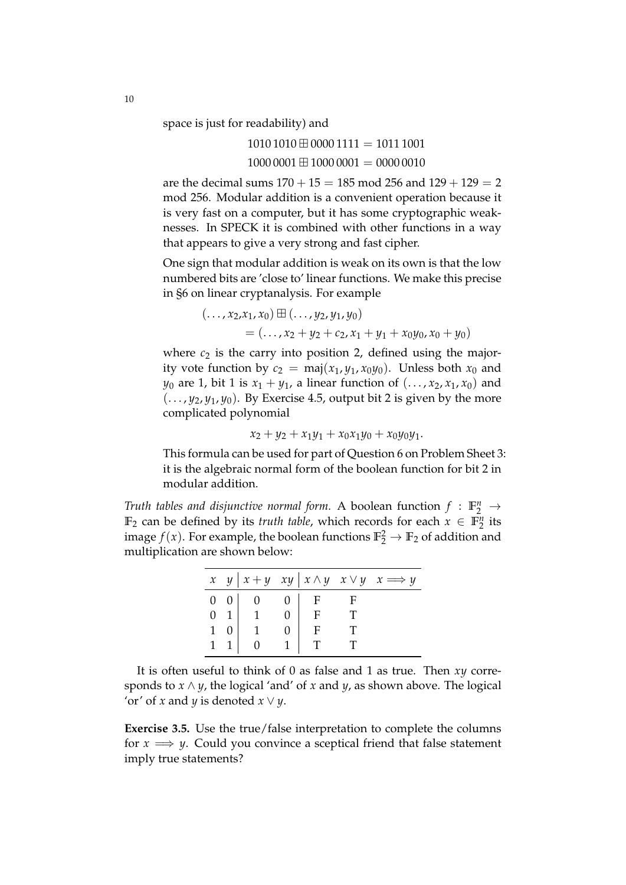space is just for readability) and

 $10101010 \boxplus 00001111 = 10111001$  $1000\,0001 \boxplus 1000\,0001 = 0000\,0010$ 

are the decimal sums  $170 + 15 = 185 \text{ mod } 256$  and  $129 + 129 = 2$ mod 256. Modular addition is a convenient operation because it is very fast on a computer, but it has some cryptographic weaknesses. In SPECK it is combined with other functions in a way that appears to give a very strong and fast cipher.

One sign that modular addition is weak on its own is that the low numbered bits are 'close to' linear functions. We make this precise in §6 on linear cryptanalysis. For example

$$
(\ldots, x_2, x_1, x_0) \boxplus (\ldots, y_2, y_1, y_0)
$$
  
= (\ldots, x\_2 + y\_2 + c\_2, x\_1 + y\_1 + x\_0y\_0, x\_0 + y\_0)

where  $c_2$  is the carry into position 2, defined using the majority vote function by  $c_2 = \text{maj}(x_1, y_1, x_0, y_0)$ . Unless both  $x_0$  and *y*<sub>0</sub> are 1, bit 1 is  $x_1 + y_1$ , a linear function of  $(\ldots, x_2, x_1, x_0)$  and  $(..., y_2, y_1, y_0)$ . By Exercise 4.5, output bit 2 is given by the more complicated polynomial

$$
x_2 + y_2 + x_1y_1 + x_0x_1y_0 + x_0y_0y_1.
$$

This formula can be used for part of Question 6 on Problem Sheet 3: it is the algebraic normal form of the boolean function for bit 2 in modular addition.

*Truth tables and disjunctive normal form.* A boolean function  $f : \mathbb{F}_2^n \to$ **F**<sub>2</sub> can be defined by its *truth table*, which records for each  $x \in \mathbb{F}_2^n$  its image  $f(x)$ . For example, the boolean functions  $\mathbb{F}_2^2 \to \mathbb{F}_2$  of addition and multiplication are shown below:

|  |                                                                                                                                     |  | x $y   x + y xy   x \wedge y x \vee y x \Longrightarrow y$ |
|--|-------------------------------------------------------------------------------------------------------------------------------------|--|------------------------------------------------------------|
|  | $\begin{array}{cc cc} 0 & 0 & 0 & 0 & F & F \\ 0 & 1 & 1 & 0 & F & T \\ 1 & 0 & 1 & 0 & F & T \\ 1 & 1 & 0 & 1 & T & T \end{array}$ |  |                                                            |
|  |                                                                                                                                     |  |                                                            |
|  |                                                                                                                                     |  |                                                            |
|  |                                                                                                                                     |  |                                                            |

It is often useful to think of 0 as false and 1 as true. Then *xy* corresponds to  $x \wedge y$ , the logical 'and' of  $x$  and  $y$ , as shown above. The logical 'or' of *x* and *y* is denoted *x* ∨ *y*.

**Exercise 3.5.** Use the true/false interpretation to complete the columns for  $x \implies y$ . Could you convince a sceptical friend that false statement imply true statements?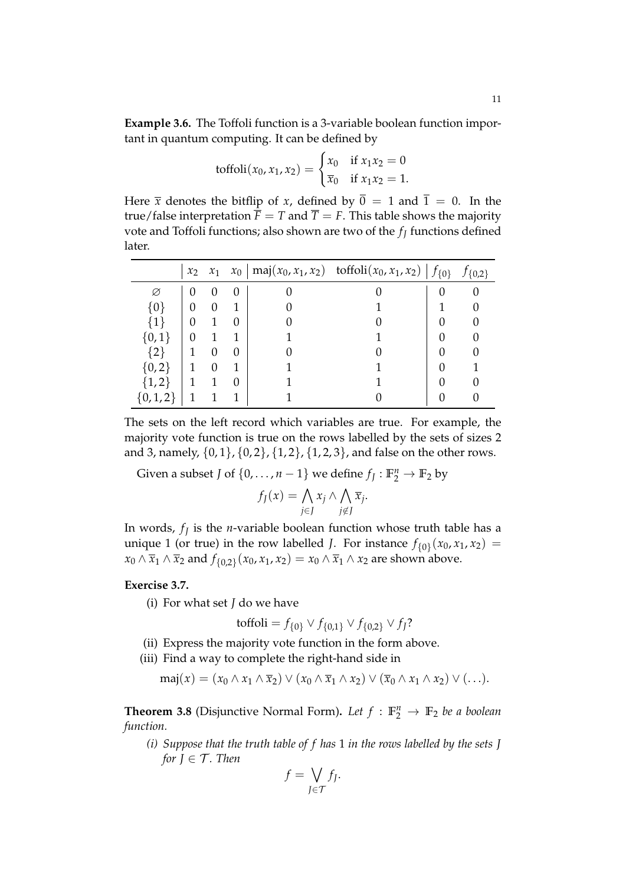**Example 3.6.** The Toffoli function is a 3-variable boolean function important in quantum computing. It can be defined by

toffoli
$$
(x_0, x_1, x_2)
$$
 =  $\begin{cases} x_0 & \text{if } x_1x_2 = 0 \\ \overline{x}_0 & \text{if } x_1x_2 = 1. \end{cases}$ 

Here  $\bar{x}$  denotes the bitflip of *x*, defined by  $\bar{0} = 1$  and  $\bar{1} = 0$ . In the true/false interpretation  $\overline{F} = T$  and  $\overline{T} = F$ . This table shows the majority vote and Toffoli functions; also shown are two of the *f<sup>J</sup>* functions defined later.

|              | $x_2$    | $x_1$        |                   | $x_0$   maj $(x_0, x_1, x_2)$ toffoli $(x_0, x_1, x_2)$   $f_{\{0\}}$ | $f_{\{0,2\}}$ |
|--------------|----------|--------------|-------------------|-----------------------------------------------------------------------|---------------|
| Ø            | $\theta$ | $\mathbf{0}$ | $\left( \right)$  |                                                                       |               |
| {0}          | 0        | $\Omega$     |                   |                                                                       |               |
| $ 11\rangle$ | $\theta$ |              |                   |                                                                       |               |
| $\{0,1\}$    | 0        |              |                   |                                                                       |               |
| $\{2\}$      |          | 0            | $\theta$          |                                                                       |               |
| $\{0,2\}$    |          | $\theta$     |                   |                                                                       |               |
| $\{1,2\}$    |          |              | $\mathbf{\Omega}$ |                                                                       |               |
|              |          |              |                   |                                                                       |               |

The sets on the left record which variables are true. For example, the majority vote function is true on the rows labelled by the sets of sizes 2 and 3, namely,  $\{0, 1\}$ ,  $\{0, 2\}$ ,  $\{1, 2\}$ ,  $\{1, 2, 3\}$ , and false on the other rows.

Given a subset *J* of  $\{0, \ldots, n-1\}$  we define  $f_J : \mathbb{F}_2^n \to \mathbb{F}_2$  by

$$
f_J(x) = \bigwedge_{j \in J} x_j \wedge \bigwedge_{j \notin J} \overline{x}_j.
$$

In words, *f<sup>J</sup>* is the *n*-variable boolean function whose truth table has a unique 1 (or true) in the row labelled *J*. For instance  $f_{\{0\}}(x_0, x_1, x_2)$  =  $x_0 \wedge \overline{x}_1 \wedge \overline{x}_2$  and  $f_{\{0,2\}}(x_0, x_1, x_2) = x_0 \wedge \overline{x}_1 \wedge x_2$  are shown above.

#### **Exercise 3.7.**

(i) For what set *J* do we have

toffoli = 
$$
f_{\{0\}} \vee f_{\{0,1\}} \vee f_{\{0,2\}} \vee f_J?
$$

- (ii) Express the majority vote function in the form above.
- (iii) Find a way to complete the right-hand side in

$$
\mathrm{maj}(x)=(x_0\wedge x_1\wedge \overline{x}_2)\vee (x_0\wedge \overline{x}_1\wedge x_2)\vee (\overline{x}_0\wedge x_1\wedge x_2)\vee (\ldots).
$$

**Theorem 3.8** (Disjunctive Normal Form). Let  $f : \mathbb{F}_2^n \to \mathbb{F}_2$  be a boolean *function.*

*(i) Suppose that the truth table of f has* 1 *in the rows labelled by the sets J for*  $J \in \mathcal{T}$ *. Then* 

$$
f = \bigvee_{J \in \mathcal{T}} f_J.
$$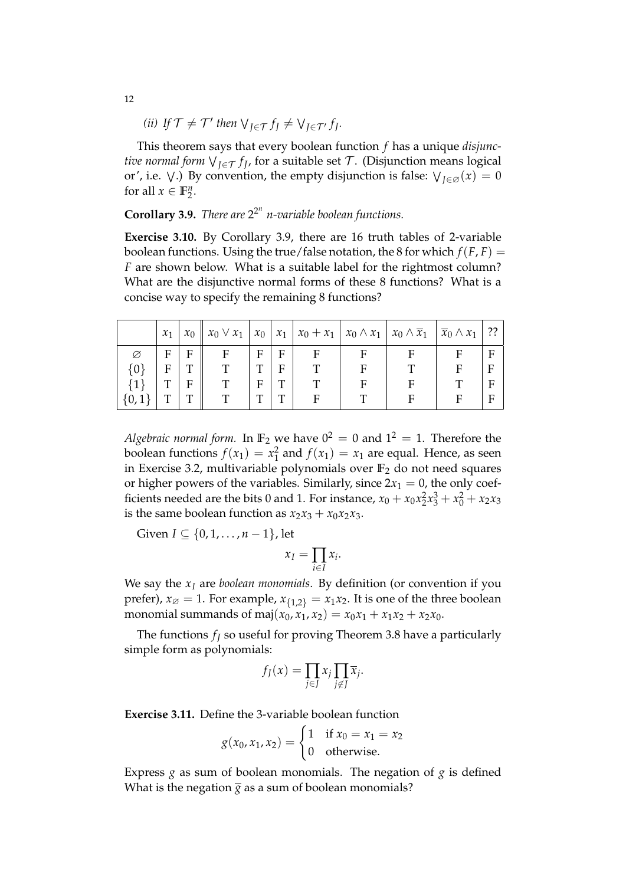(*ii*) If  $\mathcal{T} \neq \mathcal{T}'$  then  $\bigvee_{J \in \mathcal{T}} f_J \neq \bigvee_{J \in \mathcal{T}'} f_J$ .

This theorem says that every boolean function *f* has a unique *disjunctive normal form*  $\bigvee_{J \in \mathcal{T}} f_J$ , for a suitable set  $\mathcal{T}.$  (Disjunction means logical or', i.e.  $\vee$ .) By convention, the empty disjunction is false:  $\vee_{J \in \varnothing}(x) = 0$ for all  $x \in \mathbb{F}_2^n$ .

**Corollary 3.9.** *There are* 2 2 *n n-variable boolean functions.*

**Exercise 3.10.** By Corollary 3.9, there are 16 truth tables of 2-variable boolean functions. Using the true/false notation, the 8 for which  $f(F, F) =$ *F* are shown below. What is a suitable label for the rightmost column? What are the disjunctive normal forms of these 8 functions? What is a concise way to specify the remaining 8 functions?

| $x_1$ | $x_0$ | $\parallel x_0 \vee x_1 \parallel$ | $x_0$ | $x_1$ | $\mid x_0 + x_1 \mid x_0 \wedge x_1 \mid x_0 \wedge \overline{x}_1$ |  | $\overline{x}_0 \wedge x_1$ | ?? |
|-------|-------|------------------------------------|-------|-------|---------------------------------------------------------------------|--|-----------------------------|----|
| Е     | F     | Е                                  | F     | F     | F                                                                   |  | F                           | F  |
|       | ౼     | т                                  | ᡣ     | Е     |                                                                     |  | F                           | F  |
| ᠇᠇    | F     |                                    | F     | ᡣ     |                                                                     |  |                             | F  |
| ㅠ     | m     |                                    | ᅲ     | ᡣ     |                                                                     |  | F                           | F  |

*Algebraic normal form.* In  $\mathbb{F}_2$  we have  $0^2 = 0$  and  $1^2 = 1$ . Therefore the boolean functions  $f(x_1) = x_1^2$  and  $f(x_1) = x_1$  are equal. Hence, as seen in Exercise 3.2, multivariable polynomials over  $\mathbb{F}_2$  do not need squares or higher powers of the variables. Similarly, since  $2x_1 = 0$ , the only coefficients needed are the bits 0 and 1. For instance,  $x_0 + x_0x_2^2x_3^3 + x_0^2 + x_2x_3$ is the same boolean function as  $x_2x_3 + x_0x_2x_3$ .

Given *I* ⊆ {0, 1, . . . , *n* − 1}, let

$$
x_I = \prod_{i \in I} x_i.
$$

We say the *x<sup>I</sup>* are *boolean monomials*. By definition (or convention if you prefer),  $x_{\emptyset} = 1$ . For example,  $x_{\{1,2\}} = x_1x_2$ . It is one of the three boolean monomial summands of maj $(x_0, x_1, x_2) = x_0x_1 + x_1x_2 + x_2x_0$ .

The functions  $f$ <sup>*J*</sup> so useful for proving Theorem 3.8 have a particularly simple form as polynomials:

$$
f_J(x) = \prod_{j \in J} x_j \prod_{j \notin J} \overline{x}_j.
$$

**Exercise 3.11.** Define the 3-variable boolean function

$$
g(x_0, x_1, x_2) = \begin{cases} 1 & \text{if } x_0 = x_1 = x_2 \\ 0 & \text{otherwise.} \end{cases}
$$

Express  $g$  as sum of boolean monomials. The negation of  $g$  is defined What is the negation  $\bar{g}$  as a sum of boolean monomials?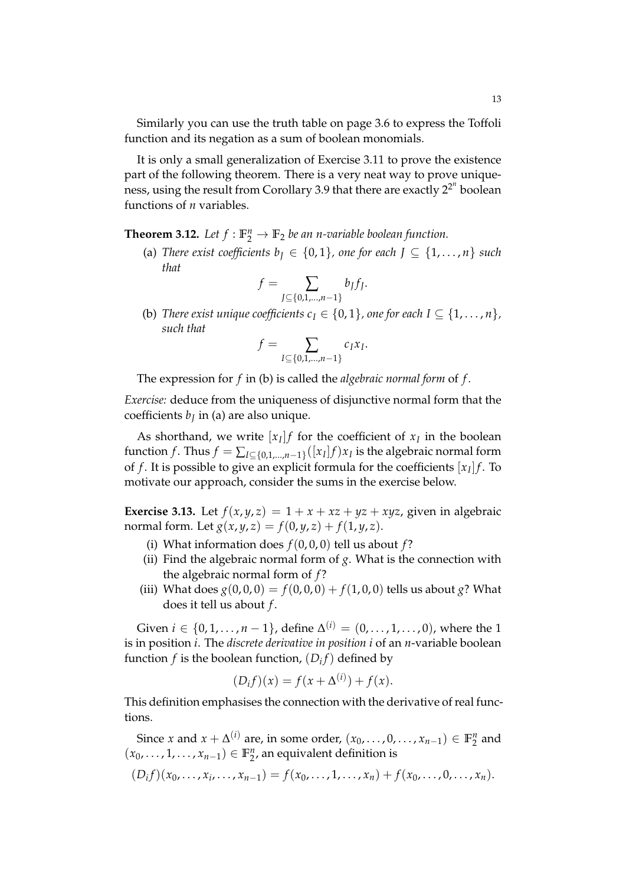Similarly you can use the truth table on page 3.6 to express the Toffoli function and its negation as a sum of boolean monomials.

It is only a small generalization of Exercise 3.11 to prove the existence part of the following theorem. There is a very neat way to prove uniqueness, using the result from Corollary 3.9 that there are exactly 2<sup>2<sup>n</sup></sup> boolean functions of *n* variables.

**Theorem 3.12.** Let  $f : \mathbb{F}_2^n \to \mathbb{F}_2$  be an n-variable boolean function.

(a) *There exist coefficients*  $b_I \in \{0,1\}$ *, one for each*  $J \subseteq \{1,\ldots,n\}$  *such that*

$$
f=\sum_{J\subseteq\{0,1,\ldots,n-1\}}b_{J}f_{J}.
$$

(b) *There exist unique coefficients*  $c_I \in \{0, 1\}$ *, one for each*  $I \subseteq \{1, \ldots, n\}$ *, such that*

$$
f = \sum_{I \subseteq \{0,1,\ldots,n-1\}} c_I x_I.
$$

The expression for *f* in (b) is called the *algebraic normal form* of *f* .

*Exercise:* deduce from the uniqueness of disjunctive normal form that the coefficients *b<sup>J</sup>* in (a) are also unique.

As shorthand, we write  $[x_I]$  *f* for the coefficient of  $x_I$  in the boolean function *f* . Thus  $f = \sum_{I \subseteq \{0,1,...,n-1\}} ([x_I]f)x_I$  is the algebraic normal form of  $f$ . It is possible to give an explicit formula for the coefficients  $[x_I]f$ . To motivate our approach, consider the sums in the exercise below.

**Exercise 3.13.** Let  $f(x, y, z) = 1 + x + xz + yz + xyz$ , given in algebraic normal form. Let  $g(x, y, z) = f(0, y, z) + f(1, y, z)$ .

- (i) What information does  $f(0, 0, 0)$  tell us about  $f$ ?
- (ii) Find the algebraic normal form of *g*. What is the connection with the algebraic normal form of *f* ?
- (iii) What does  $g(0,0,0) = f(0,0,0) + f(1,0,0)$  tells us about *g*? What does it tell us about *f* .

Given  $i \in \{0, 1, \ldots, n-1\}$ , define  $\Delta^{(i)} = (0, \ldots, 1, \ldots, 0)$ , where the 1 is in position *i*. The *discrete derivative in position i* of an *n*-variable boolean function  $f$  is the boolean function,  $(D_i f)$  defined by

$$
(D_i f)(x) = f(x + \Delta^{(i)}) + f(x).
$$

This definition emphasises the connection with the derivative of real functions.

Since *x* and  $x + \Delta^{(i)}$  are, in some order,  $(x_0, \ldots, 0, \ldots, x_{n-1}) \in \mathbb{F}_2^n$  and  $(x_0, \ldots, 1, \ldots, x_{n-1})$  ∈  $\mathbb{F}_2^n$ , an equivalent definition is

$$
(D_i f)(x_0, \ldots, x_i, \ldots, x_{n-1}) = f(x_0, \ldots, 1, \ldots, x_n) + f(x_0, \ldots, 0, \ldots, x_n).
$$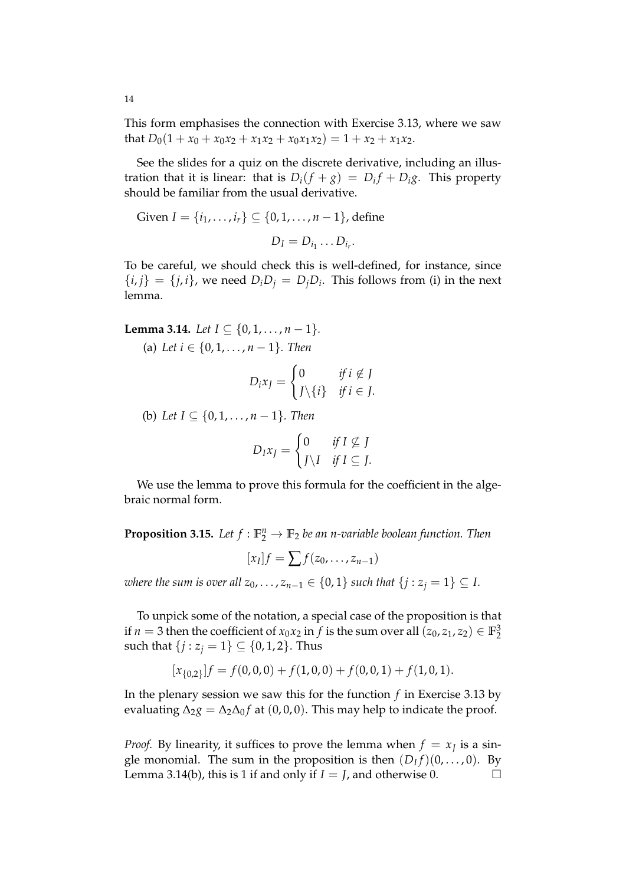This form emphasises the connection with Exercise 3.13, where we saw that  $D_0(1 + x_0 + x_0x_2 + x_1x_2 + x_0x_1x_2) = 1 + x_2 + x_1x_2$ .

See the slides for a quiz on the discrete derivative, including an illustration that it is linear: that is  $D_i(f + g) = D_i f + D_i g$ . This property should be familiar from the usual derivative.

Given 
$$
I = \{i_1, ..., i_r\} \subseteq \{0, 1, ..., n - 1\}
$$
, define  

$$
D_I = D_{i_1} ... D_{i_r}.
$$

To be careful, we should check this is well-defined, for instance, since  $\{i, j\} = \{j, i\}$ , we need  $D_i D_j = D_j D_i$ . This follows from (i) in the next lemma.

**Lemma 3.14.** *Let I* ⊆ {0, 1, . . . , *n* − 1}*.* 

(a) *Let i* ∈ {0, 1, . . . , *n* − 1}*. Then*

$$
D_i x_J = \begin{cases} 0 & \text{if } i \notin J \\ J \setminus \{i\} & \text{if } i \in J. \end{cases}
$$

(b) *Let I* ⊆ {0, 1, . . . , *n* − 1}*. Then*

$$
D_I x_J = \begin{cases} 0 & \text{if } I \not\subseteq J \\ J \setminus I & \text{if } I \subseteq J. \end{cases}
$$

We use the lemma to prove this formula for the coefficient in the algebraic normal form.

**Proposition 3.15.** Let  $f : \mathbb{F}_2^n \to \mathbb{F}_2$  be an n-variable boolean function. Then

$$
[x_I]f = \sum f(z_0,\ldots,z_{n-1})
$$

*where the sum is over all*  $z_0, \ldots, z_{n-1} \in \{0, 1\}$  *such that*  $\{j : z_j = 1\} \subseteq I$ .

To unpick some of the notation, a special case of the proposition is that if *n* = 3 then the coefficient of  $x_0x_2$  in *f* is the sum over all  $(z_0, z_1, z_2) \in \mathbb{F}_2^3$ such that  $\{j : z_j = 1\} \subseteq \{0, 1, 2\}$ . Thus

$$
[x_{\{0,2\}}]f = f(0,0,0) + f(1,0,0) + f(0,0,1) + f(1,0,1).
$$

In the plenary session we saw this for the function *f* in Exercise 3.13 by evaluating  $\Delta_2 g = \Delta_2 \Delta_0 f$  at (0,0,0). This may help to indicate the proof.

*Proof.* By linearity, it suffices to prove the lemma when  $f = x<sub>J</sub>$  is a single monomial. The sum in the proposition is then  $(D_If)(0,\ldots,0)$ . By Lemma 3.14(b), this is 1 if and only if  $I = J$ , and otherwise 0.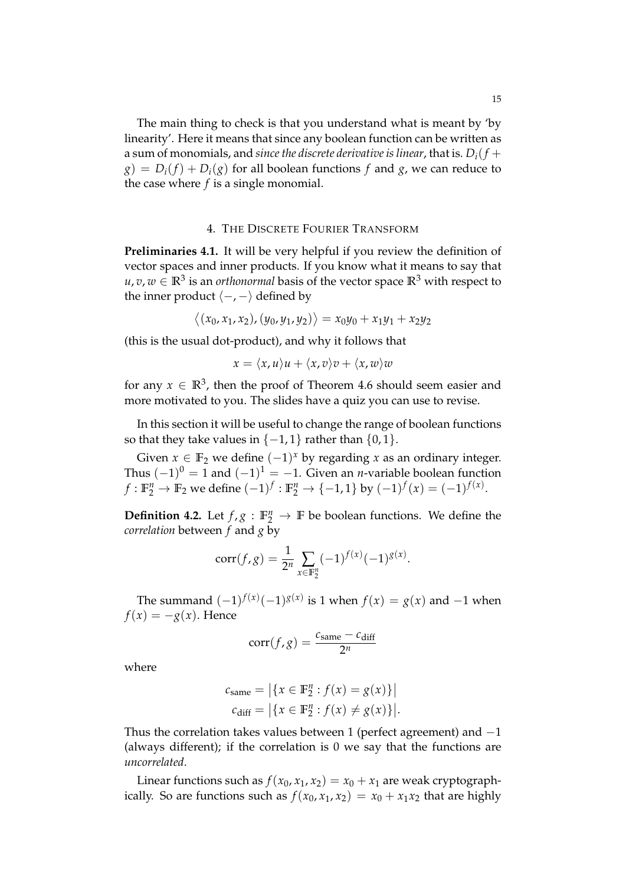The main thing to check is that you understand what is meant by 'by linearity'. Here it means that since any boolean function can be written as a sum of monomials, and *since the discrete derivative is linear*, that is.  $D_i(f +$  $g = D_i(f) + D_i(g)$  for all boolean functions f and g, we can reduce to the case where *f* is a single monomial.

# 4. THE DISCRETE FOURIER TRANSFORM

**Preliminaries 4.1.** It will be very helpful if you review the definition of vector spaces and inner products. If you know what it means to say that  $u,v,w\in\mathbb{R}^3$  is an *orthonormal* basis of the vector space  $\mathbb{R}^3$  with respect to the inner product  $\langle -,-\rangle$  defined by

$$
\langle (x_0, x_1, x_2), (y_0, y_1, y_2) \rangle = x_0 y_0 + x_1 y_1 + x_2 y_2
$$

(this is the usual dot-product), and why it follows that

$$
x = \langle x, u \rangle u + \langle x, v \rangle v + \langle x, w \rangle w
$$

for any  $x \in \mathbb{R}^3$ , then the proof of Theorem 4.6 should seem easier and more motivated to you. The slides have a quiz you can use to revise.

In this section it will be useful to change the range of boolean functions so that they take values in  $\{-1, 1\}$  rather than  $\{0, 1\}$ .

Given  $x \in \mathbb{F}_2$  we define  $(-1)^x$  by regarding  $x$  as an ordinary integer. Thus  $(-1)^0 = 1$  and  $(-1)^1 = -1$ . Given an *n*-variable boolean function *f* : **F**<sup>*n*</sup> → **F**<sub>2</sub> we define  $(-1)^f$  : **F**<sup>*n*</sup><sub></sub> → {-1, 1} by  $(-1)^f(x) = (-1)^{f(x)}$ .

**Definition 4.2.** Let  $f, g : \mathbb{F}_2^n \to \mathbb{F}$  be boolean functions. We define the *correlation* between *f* and *g* by

$$
corr(f,g) = \frac{1}{2^n} \sum_{x \in \mathbb{F}_2^n} (-1)^{f(x)} (-1)^{g(x)}.
$$

The summand  $(-1)^{f(x)}(-1)^{g(x)}$  is 1 when  $f(x) = g(x)$  and  $-1$  when  $f(x) = -g(x)$ . Hence

$$
corr(f,g) = \frac{c_{\text{same}} - c_{\text{diff}}}{2^n}
$$

where

$$
c_{\text{same}} = |\{x \in \mathbb{F}_2^n : f(x) = g(x)\}|
$$
  

$$
c_{\text{diff}} = |\{x \in \mathbb{F}_2^n : f(x) \neq g(x)\}|.
$$

Thus the correlation takes values between 1 (perfect agreement) and  $-1$ (always different); if the correlation is 0 we say that the functions are *uncorrelated*.

Linear functions such as  $f(x_0, x_1, x_2) = x_0 + x_1$  are weak cryptographically. So are functions such as  $f(x_0, x_1, x_2) = x_0 + x_1x_2$  that are highly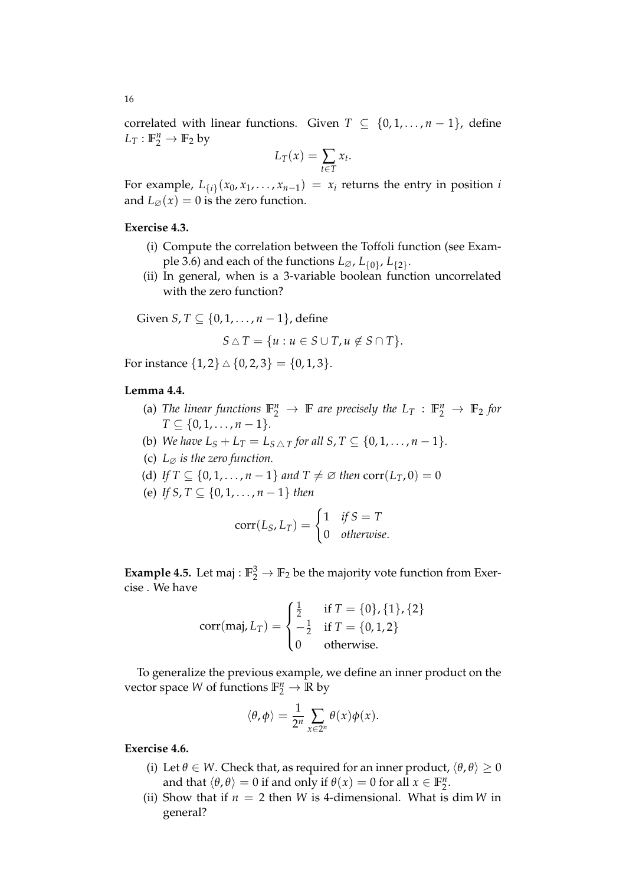correlated with linear functions. Given  $T \subseteq \{0, 1, ..., n-1\}$ , define  $L_T: \mathbb{F}_2^n \to \mathbb{F}_2$  by

$$
L_T(x) = \sum_{t \in T} x_t.
$$

For example,  $L_{\{i\}}(x_0, x_1, \ldots, x_{n-1}) = x_i$  returns the entry in position *i* and  $L_{\varnothing}(x) = 0$  is the zero function.

## **Exercise 4.3.**

- (i) Compute the correlation between the Toffoli function (see Example 3.6) and each of the functions  $L_{\varnothing}$ ,  $L_{\{0\}}$ ,  $L_{\{2\}}$ .
- (ii) In general, when is a 3-variable boolean function uncorrelated with the zero function?

Given *S*, *T* ⊂ {0, 1, . . . , *n* − 1}, define

$$
S \triangle T = \{u : u \in S \cup T, u \notin S \cap T\}.
$$

For instance  $\{1, 2\} \triangle \{0, 2, 3\} = \{0, 1, 3\}.$ 

## **Lemma 4.4.**

- (a) The linear functions  $\mathbb{F}_2^n \to \mathbb{F}$  are precisely the  $L_T : \mathbb{F}_2^n \to \mathbb{F}_2$  for  $T \subseteq \{0, 1, \ldots, n-1\}.$
- (b) *We have*  $L_S + L_T = L_{S \triangle T}$  *for all S, T*  $\subseteq$  {0, 1, . . . , *n* − 1}*.*
- (c)  $L_{\varnothing}$  *is the zero function.*
- (d) *If*  $T \subseteq \{0, 1, \ldots, n-1\}$  *and*  $T \neq \emptyset$  *then* corr $(L_T, 0) = 0$
- (e) *If S*, *T* ⊆ {0, 1, . . . , *n* − 1} *then*

$$
corr(L_S, L_T) = \begin{cases} 1 & \text{if } S = T \\ 0 & \text{otherwise.} \end{cases}
$$

**Example 4.5.** Let maj :  $\mathbb{F}_2^3 \to \mathbb{F}_2$  be the majority vote function from Exercise . We have

$$
corr(maj, L_T) = \begin{cases} \frac{1}{2} & \text{if } T = \{0\}, \{1\}, \{2\} \\ -\frac{1}{2} & \text{if } T = \{0, 1, 2\} \\ 0 & \text{otherwise.} \end{cases}
$$

To generalize the previous example, we define an inner product on the vector space W of functions  $\mathbb{F}_2^n \to \mathbb{R}$  by

$$
\langle \theta, \phi \rangle = \frac{1}{2^n} \sum_{x \in 2^n} \theta(x) \phi(x).
$$

#### **Exercise 4.6.**

- (i) Let  $\theta \in W$ . Check that, as required for an inner product,  $\langle \theta, \theta \rangle \ge 0$ and that  $\langle \theta, \theta \rangle = 0$  if and only if  $\theta(x) = 0$  for all  $x \in \mathbb{F}_2^n$ .
- (ii) Show that if  $n = 2$  then *W* is 4-dimensional. What is dim *W* in general?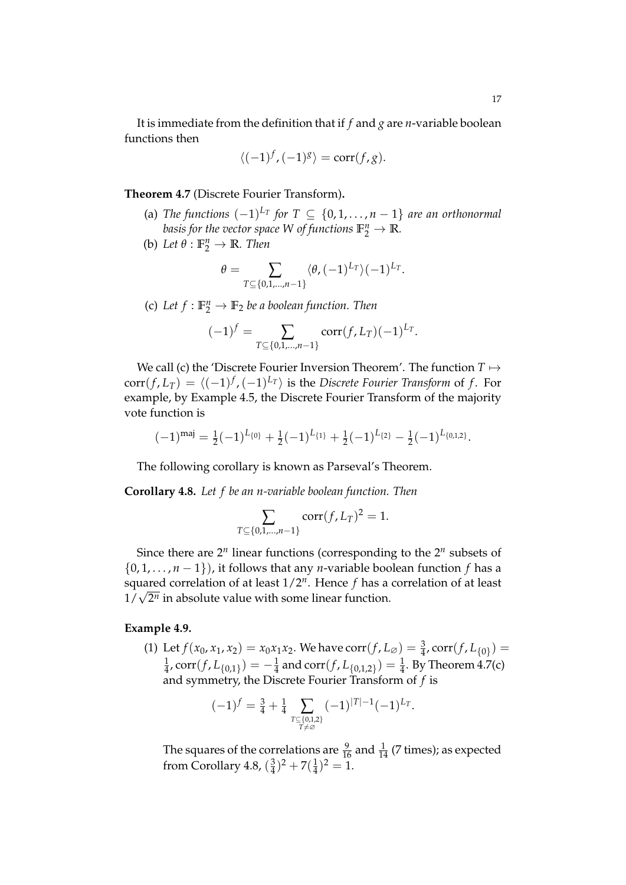It is immediate from the definition that if *f* and *g* are *n*-variable boolean functions then

$$
\langle (-1)^f, (-1)^g \rangle = \text{corr}(f, g).
$$

**Theorem 4.7** (Discrete Fourier Transform)**.**

- (a) The functions  $(-1)^{L_T}$  for  $T \subseteq \{0, 1, \ldots, n-1\}$  are an orthonormal *basis for the vector space W of functions*  $\mathbb{F}_2^n \to \mathbb{R}$ *.*
- (b) Let  $\theta : \mathbb{F}_2^n \to \mathbb{R}$ *. Then*

$$
\theta = \sum_{T \subseteq \{0,1,\dots,n-1\}} \langle \theta, (-1)^{L_T} \rangle (-1)^{L_T}.
$$

(c) Let  $f : \mathbb{F}_2^n \to \mathbb{F}_2$  be a boolean function. Then

$$
(-1)^{f} = \sum_{T \subseteq \{0,1,\dots,n-1\}} \text{corr}(f, L_T) (-1)^{L_T}.
$$

We call (c) the 'Discrete Fourier Inversion Theorem'. The function  $T \mapsto$  $\text{corr}(f, L_T) = \langle (-1)^f, (-1)^{L_T} \rangle$  is the *Discrete Fourier Transform* of *f*. For example, by Example 4.5, the Discrete Fourier Transform of the majority vote function is

$$
(-1)^{maj} = \frac{1}{2}(-1)^{L_{\{0\}}} + \frac{1}{2}(-1)^{L_{\{1\}}} + \frac{1}{2}(-1)^{L_{\{2\}}} - \frac{1}{2}(-1)^{L_{\{0,1,2\}}}.
$$

The following corollary is known as Parseval's Theorem.

**Corollary 4.8.** *Let f be an n-variable boolean function. Then*

$$
\sum_{T \subseteq \{0,1,\dots,n-1\}} \text{corr}(f, L_T)^2 = 1.
$$

Since there are 2<sup>n</sup> linear functions (corresponding to the 2<sup>n</sup> subsets of {0, 1, . . . , *n* − 1}), it follows that any *n*-variable boolean function *f* has a squared correlation of at least 1/2*<sup>n</sup>* . Hence *f* has a correlation of at least squared correlation of at least  $1/2$ . Hence *f* has a  $1/\sqrt{2^n}$  in absolute value with some linear function.

### **Example 4.9.**

(1) Let  $f(x_0, x_1, x_2) = x_0 x_1 x_2$ . We have  $corr(f, L_{\emptyset}) = \frac{3}{4}$ ,  $corr(f, L_{\{0\}}) =$ 1  $\frac{1}{4}$ ,  $\text{corr}(f, L_{\{0,1\}}) = -\frac{1}{4}$  and  $\text{corr}(f, L_{\{0,1,2\}}) = \frac{1}{4}.$  By Theorem 4.7(c) and symmetry, the Discrete Fourier Transform of *f* is

$$
(-1)^f = \frac{3}{4} + \frac{1}{4} \sum_{\substack{T \subseteq \{0,1,2\} \\ T \neq \varnothing}} (-1)^{|T|-1} (-1)^{L_T}.
$$

The squares of the correlations are  $\frac{9}{16}$  and  $\frac{1}{14}$  (7 times); as expected from Corollary 4.8,  $\left(\frac{3}{4}\right)$  $(\frac{3}{4})^2 + 7(\frac{1}{4})$  $(\frac{1}{4})^2 = 1.$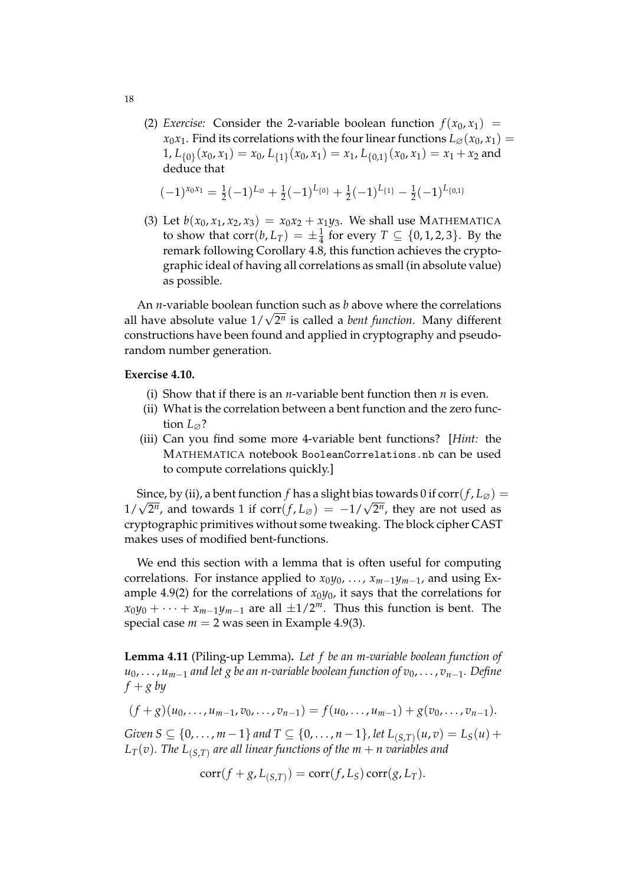(2) *Exercise:* Consider the 2-variable boolean function  $f(x_0, x_1) =$  $x_0x_1$ . Find its correlations with the four linear functions  $L_{\varnothing}(x_0, x_1) =$ 1,  $L_{\{0\}}(x_0, x_1) = x_0$ ,  $L_{\{1\}}(x_0, x_1) = x_1$ ,  $L_{\{0,1\}}(x_0, x_1) = x_1 + x_2$  and deduce that

$$
(-1)^{x_0x_1} = \frac{1}{2}(-1)^{L_{\emptyset}} + \frac{1}{2}(-1)^{L_{\{0\}}} + \frac{1}{2}(-1)^{L_{\{1\}}} - \frac{1}{2}(-1)^{L_{\{0,1\}}}
$$

(3) Let  $b(x_0, x_1, x_2, x_3) = x_0x_2 + x_1y_3$ . We shall use MATHEMATICA to show that  $\text{corr}(b, L_T) = \pm \frac{1}{4}$  for every  $T \subseteq \{0, 1, 2, 3\}$ . By the remark following Corollary 4.8, this function achieves the cryptographic ideal of having all correlations as small (in absolute value) as possible.

An *n*-variable boolean function such as *b* above where the correlations An *n*-variable boolean runction such as *b* above where the correlations all have absolute value  $1/\sqrt{2^n}$  is called a *bent function*. Many different constructions have been found and applied in cryptography and pseudorandom number generation.

### **Exercise 4.10.**

- (i) Show that if there is an *n*-variable bent function then *n* is even.
- (ii) What is the correlation between a bent function and the zero function  $L_{\alpha}$ ?
- (iii) Can you find some more 4-variable bent functions? [*Hint:* the MATHEMATICA notebook BooleanCorrelations.nb can be used to compute correlations quickly.]

Since, by (ii), a bent function *f* has a slight bias towards 0 if corr( $f$ ,  $L_{\varnothing}$ ) = Since, by (ii), a bent function *f* has a slight bias towards 0 if corr(*f*, *L*<sub> $\varnothing$ ) =  $1/\sqrt{2^n}$ , they are not used as</sub> cryptographic primitives without some tweaking. The block cipher CAST makes uses of modified bent-functions.

We end this section with a lemma that is often useful for computing correlations. For instance applied to  $x_0y_0, \ldots, x_{m-1}y_{m-1}$ , and using Example 4.9(2) for the correlations of  $x_0y_0$ , it says that the correlations for  $x_0y_0 + \cdots + x_{m-1}y_{m-1}$  are all  $\pm 1/2^m$ . Thus this function is bent. The special case  $m = 2$  was seen in Example 4.9(3).

**Lemma 4.11** (Piling-up Lemma)**.** *Let f be an m-variable boolean function of u*<sub>0</sub>, ..., *u*<sub>*m*−1</sub> *and let g be an n-variable boolean function of*  $v_0$ *, ...,*  $v_{n-1}$ *. Define*  $f + g$  by

$$
(f+g)(u_0,\ldots,u_{m-1},v_0,\ldots,v_{n-1})=f(u_0,\ldots,u_{m-1})+g(v_0,\ldots,v_{n-1}).
$$

*Given*  $S \subseteq \{0, \ldots, m-1\}$  and  $T \subseteq \{0, \ldots, n-1\}$ , let  $L_{(S,T)}(u, v) = L_S(u) +$  $L_{T}(v).$  *The*  $L_{(S,T)}$  *are all linear functions of the*  $m+n$  *variables and* 

$$
corr(f + g, L_{(S,T)}) = corr(f, L_S) corr(g, L_T).
$$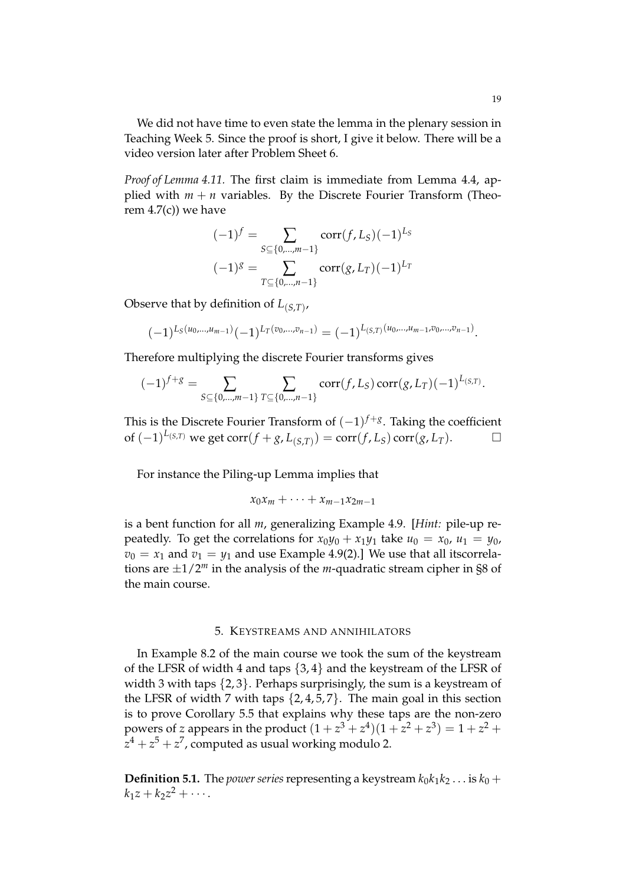We did not have time to even state the lemma in the plenary session in Teaching Week 5. Since the proof is short, I give it below. There will be a video version later after Problem Sheet 6.

*Proof of Lemma 4.11.* The first claim is immediate from Lemma 4.4, applied with  $m + n$  variables. By the Discrete Fourier Transform (Theorem  $4.7(c)$ ) we have

$$
(-1)^{f} = \sum_{S \subseteq \{0, \dots, m-1\}} \text{corr}(f, L_S) (-1)^{L_S}
$$

$$
(-1)^{g} = \sum_{T \subseteq \{0, \dots, n-1\}} \text{corr}(g, L_T) (-1)^{L_T}
$$

Observe that by definition of *L*(*S*,*T*) ,

$$
(-1)^{L_S(u_0,...,u_{m-1})}(-1)^{L_T(v_0,...,v_{n-1})}=(-1)^{L_{(S,T)}(u_0,...,u_{m-1},v_0,...,v_{n-1})}.
$$

Therefore multiplying the discrete Fourier transforms gives

$$
(-1)^{f+g} = \sum_{S \subseteq \{0,\dots,m-1\}} \sum_{T \subseteq \{0,\dots,n-1\}} \text{corr}(f,L_S) \text{ corr}(g,L_T) (-1)^{L(s,T)}.
$$

This is the Discrete Fourier Transform of (−1) *f*+*g* . Taking the coefficient  $\text{of } (-1)^{L(S,T)} \text{ we get } \text{corr}(f + g, L_{(S,T)}) = \text{corr}(f, L_S) \text{ corr}(g, L_T).$ 

For instance the Piling-up Lemma implies that

$$
x_0x_m+\cdots+x_{m-1}x_{2m-1}
$$

is a bent function for all *m*, generalizing Example 4.9. [*Hint:* pile-up repeatedly. To get the correlations for  $x_0y_0 + x_1y_1$  take  $u_0 = x_0$ ,  $u_1 = y_0$ ,  $v_0 = x_1$  and  $v_1 = y_1$  and use Example 4.9(2).] We use that all itscorrelations are  $\pm 1/2^m$  in the analysis of the *m*-quadratic stream cipher in §8 of the main course.

### 5. KEYSTREAMS AND ANNIHILATORS

In Example 8.2 of the main course we took the sum of the keystream of the LFSR of width 4 and taps {3, 4} and the keystream of the LFSR of width 3 with taps {2, 3}. Perhaps surprisingly, the sum is a keystream of the LFSR of width 7 with taps  $\{2, 4, 5, 7\}$ . The main goal in this section is to prove Corollary 5.5 that explains why these taps are the non-zero powers of *z* appears in the product  $(1 + z^3 + z^4)(1 + z^2 + z^3) = 1 + z^2 + z^3$  $z^4 + z^5 + z^7$ , computed as usual working modulo 2.

**Definition 5.1.** The *power series* representing a keystream  $k_0k_1k_2...$  is  $k_0 +$  $k_1z + k_2z^2 + \cdots$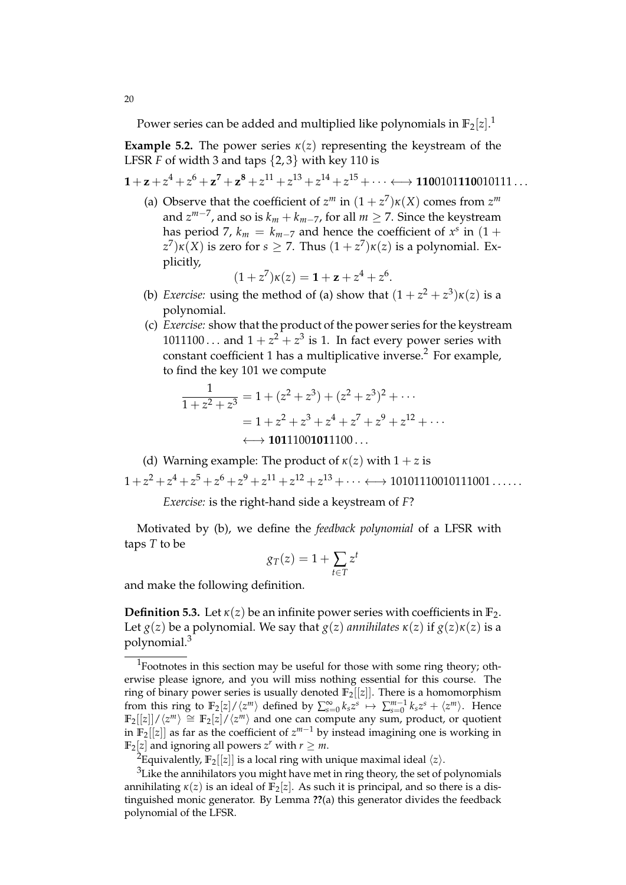Power series can be added and multiplied like polynomials in  $\mathbb{F}_2[z].^1$ 

**Example 5.2.** The power series  $\kappa(z)$  representing the keystream of the LFSR *F* of width 3 and taps {2, 3} with key 110 is

 $1 + z + z^4 + z^6 + z^7 + z^8 + z^{11} + z^{13} + z^{14} + z^{15} + \cdots \longleftrightarrow 1100101110010111...$ 

(a) Observe that the coefficient of  $z^m$  in  $(1 + z^7)\kappa(X)$  comes from  $z^m$ and  $z^{m-7}$ , and so is  $k_m + k_{m-7}$ , for all  $m \geq 7$ . Since the keystream has period 7,  $k_m = k_{m-7}$  and hence the coefficient of  $x^s$  in  $(1 +$ *z*<sup>7</sup>) $\kappa$ (*X*) is zero for *s*  $\geq$  7. Thus (1 + *z*<sup>7</sup>) $\kappa$ (*z*) is a polynomial. Explicitly,

$$
(1+z^7)\kappa(z) = 1 + z + z^4 + z^6.
$$

- (b) *Exercise:* using the method of (a) show that  $(1 + z^2 + z^3)\kappa(z)$  is a polynomial.
- (c) *Exercise:* show that the product of the power series for the keystream 1011100... and  $1 + z^2 + z^3$  is 1. In fact every power series with constant coefficient 1 has a multiplicative inverse.<sup>2</sup> For example, to find the key 101 we compute

$$
\frac{1}{1+z^2+z^3} = 1 + (z^2+z^3) + (z^2+z^3)^2 + \cdots
$$

$$
= 1 + z^2 + z^3 + z^4 + z^7 + z^9 + z^{12} + \cdots
$$

$$
\longleftrightarrow \textbf{10111001011100} \dots
$$

(d) Warning example: The product of  $\kappa(z)$  with  $1 + z$  is  $1 + z^2 + z^4 + z^5 + z^6 + z^9 + z^{11} + z^{12} + z^{13} + \cdots \longleftrightarrow 10101110010111001 \ldots$ 

*Exercise:* is the right-hand side a keystream of *F*?

Motivated by (b), we define the *feedback polynomial* of a LFSR with taps *T* to be

$$
g_T(z) = 1 + \sum_{t \in T} z^t
$$

and make the following definition.

**Definition 5.3.** Let  $\kappa(z)$  be an infinite power series with coefficients in  $\mathbb{F}_2$ . Let  $g(z)$  be a polynomial. We say that  $g(z)$  *annihilates*  $\kappa(z)$  if  $g(z)\kappa(z)$  is a polynomial.<sup>3</sup>

<sup>&</sup>lt;sup>1</sup>Footnotes in this section may be useful for those with some ring theory; otherwise please ignore, and you will miss nothing essential for this course. The ring of binary power series is usually denoted  $\mathbb{F}_2[[z]]$ . There is a homomorphism from this ring to  $\mathbb{F}_2[z]/\langle z^m \rangle$  defined by  $\sum_{s=0}^{\infty} k_s z^s \mapsto \sum_{s=0}^{m-1} k_s z^s + \langle z^m \rangle$ . Hence  $\mathbb{F}_2[[z]]/\langle z^m \rangle \cong \mathbb{F}_2[z]/\langle z^m \rangle$  and one can compute any sum, product, or quotient in **F**2[[*z*]] as far as the coefficient of *z <sup>m</sup>*−<sup>1</sup> by instead imagining one is working in  $\mathbb{F}_2[z]$  and ignoring all powers  $z^r$  with  $r \geq m$ .

<sup>&</sup>lt;sup>2</sup>Equivalently,  $\mathbb{F}_2[[z]]$  is a local ring with unique maximal ideal  $\langle z \rangle$ .

 $3$ Like the annihilators you might have met in ring theory, the set of polynomials annihilating  $\kappa(z)$  is an ideal of  $\mathbb{F}_2[z]$ . As such it is principal, and so there is a distinguished monic generator. By Lemma **??**(a) this generator divides the feedback polynomial of the LFSR.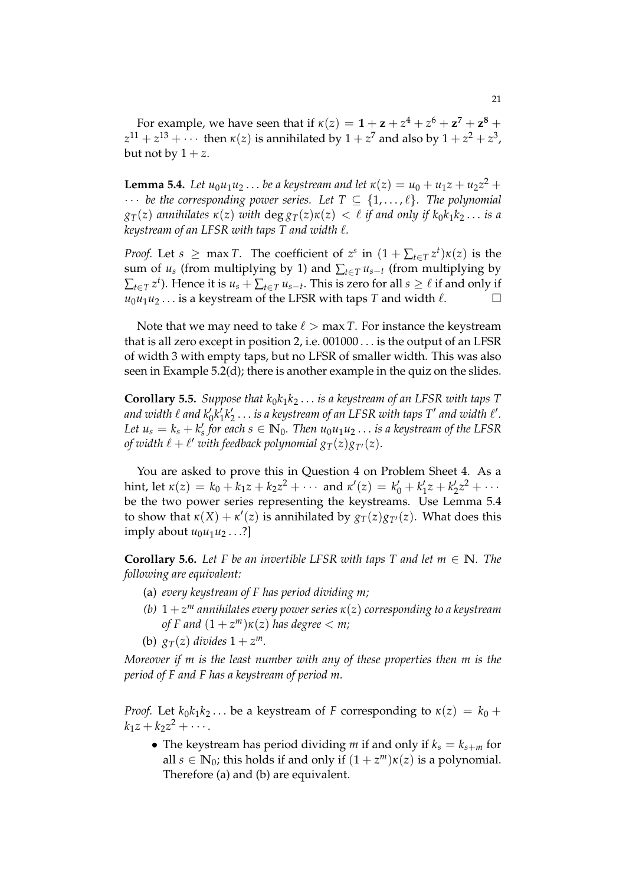For example, we have seen that if  $\kappa(z) = 1 + z + z^4 + z^6 + z^7 + z^8 + z^8$  $z^{11} + z^{13} + \cdots$  then  $\kappa(z)$  is annihilated by  $1 + z^7$  and also by  $1 + z^2 + z^3$ , but not by  $1 + z$ .

**Lemma 5.4.** *Let*  $u_0u_1u_2...$  *be a keystream and let*  $\kappa(z) = u_0 + u_1z + u_2z^2 +$  $\cdots$  be the corresponding power series. Let  $T \subseteq \{1, \ldots, \ell\}$ . The polynomial  $g_T(z)$  *annihilates*  $\kappa(z)$  *with*  $\deg g_T(z)\kappa(z) < l$  *if and only if*  $k_0k_1k_2...$  *is a keystream of an LFSR with taps T and width*  $\ell$ *.* 

*Proof.* Let  $s \geq \max T$ . The coefficient of  $z^s$  in  $(1 + \sum_{t \in T} z^t) \kappa(z)$  is the sum of  $u_s$  (from multiplying by 1) and  $\sum_{t \in T} u_{s-t}$  (from multiplying by  $\sum_{t\in T} z^t$ ). Hence it is  $u_s + \sum_{t\in T} u_{s-t}.$  This is zero for all  $s\geq \ell$  if and only if  $u_0u_1u_2\ldots$  is a keystream of the LFSR with taps *T* and width  $\ell$ .

Note that we may need to take  $\ell > \max T$ . For instance the keystream that is all zero except in position 2, i.e. 001000 . . . is the output of an LFSR of width 3 with empty taps, but no LFSR of smaller width. This was also seen in Example 5.2(d); there is another example in the quiz on the slides.

**Corollary 5.5.** *Suppose that*  $k_0k_1k_2...$  *is a keystream of an LFSR with taps* T and width  $\ell$  and  $k_0'k_1'$  $\frac{1}{2}k'$  $\mathcal{L}_2' \ldots$  is a keystream of an LFSR with taps  $T'$  and width  $\ell'.$ Let  $u_s = k_s + k'_s$  for each  $s \in \mathbb{N}_0$ . Then  $u_0u_1u_2 \ldots$  is a keystream of the LFSR of width  $\ell + \ell'$  with feedback polynomial  $g_T(z)g_{T'}(z)$ .

You are asked to prove this in Question 4 on Problem Sheet 4. As a hint, let  $\kappa(z) = k_0 + k_1 z + k_2 z^2 + \cdots$  and  $\kappa'(z) = k'_0 + k'_1 z^2 + k'_2 z^2 + \cdots$  $x_1'z + k_2'$  $x_2^2 z^2 + \cdots$ be the two power series representing the keystreams. Use Lemma 5.4 to show that  $\kappa(X) + \kappa'(z)$  is annihilated by  $g_T(z)g_{T'}(z)$ . What does this imply about  $u_0u_1u_2...$ ?]

**Corollary 5.6.** *Let F be an invertible LFSR with taps T and let*  $m \in \mathbb{N}$ *. The following are equivalent:*

- (a) *every keystream of F has period dividing m;*
- *(b)* 1 + *z <sup>m</sup> annihilates every power series κ*(*z*) *corresponding to a keystream*  $\alpha$ *f* F and  $(1 + z^m)\kappa(z)$  has degree  $< m$ ;
- (b)  $g_T(z)$  *divides*  $1 + z^m$ .

*Moreover if m is the least number with any of these properties then m is the period of F and F has a keystream of period m.*

*Proof.* Let  $k_0k_1k_2...$  be a keystream of *F* corresponding to  $\kappa(z) = k_0 + z_0$  $k_1z + k_2z^2 + \cdots$ 

• The keystream has period dividing *m* if and only if  $k_s = k_{s+m}$  for all  $s \in \mathbb{N}_0$ ; this holds if and only if  $(1 + z^m)\kappa(z)$  is a polynomial. Therefore (a) and (b) are equivalent.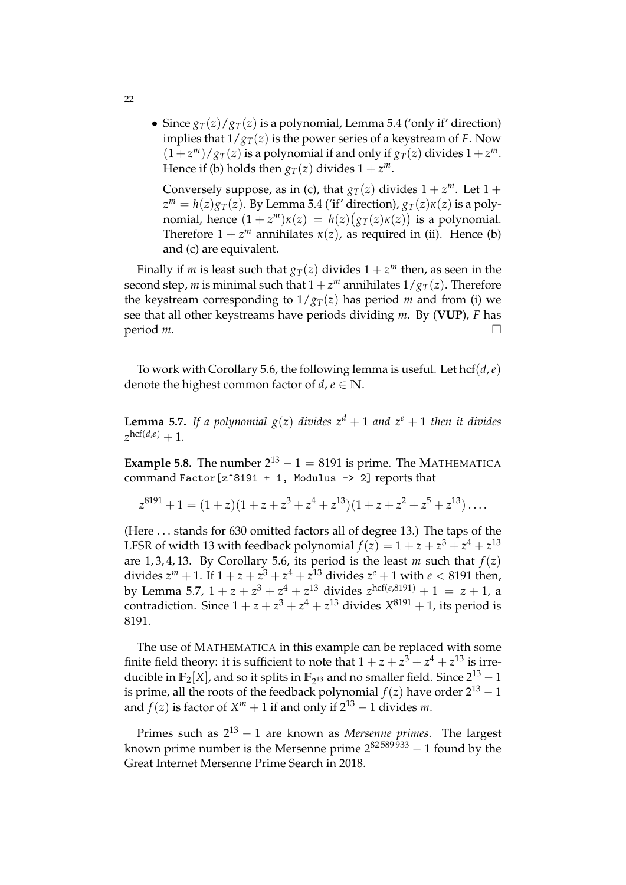• Since  $g_T(z)/g_T(z)$  is a polynomial, Lemma 5.4 ('only if' direction) implies that  $1/g_T(z)$  is the power series of a keystream of *F*. Now  $(1 + z^m)/g_T(z)$  is a polynomial if and only if  $g_T(z)$  divides  $1 + z^m$ . Hence if (b) holds then  $g_T(z)$  divides  $1 + z^m$ .

Conversely suppose, as in (c), that  $g_T(z)$  divides  $1 + z^m$ . Let  $1 + z^m$  $z^m = h(z)g_T(z)$ . By Lemma 5.4 ('if' direction),  $g_T(z)\kappa(z)$  is a polynomial, hence  $(1 + z^m)\kappa(z) = h(z)(g_T(z)\kappa(z))$  is a polynomial. Therefore  $1 + z^m$  annihilates  $\kappa(z)$ , as required in (ii). Hence (b) and (c) are equivalent.

Finally if *m* is least such that  $g_T(z)$  divides  $1 + z^m$  then, as seen in the second step*, m* is minimal such that  $1 + z^m$  annihilates  $1/g_T(z)$ . Therefore the keystream corresponding to  $1/g_T(z)$  has period *m* and from (i) we see that all other keystreams have periods dividing *m*. By (**VUP**), *F* has  $\Box$  period *m*.

To work with Corollary 5.6, the following lemma is useful. Let hcf(*d*,*e*) denote the highest common factor of  $d, e \in \mathbb{N}$ .

**Lemma 5.7.** If a polynomial  $g(z)$  divides  $z^d + 1$  and  $z^e + 1$  then it divides  $z^{\text{hcf}(d,e)}+1$ .

**Example 5.8.** The number  $2^{13} - 1 = 8191$  is prime. The MATHEMATICA command Factor  $[z^{\text{-}8191} + 1, \text{ Modulus -> 2}]$  reports that

$$
z^{8191} + 1 = (1 + z)(1 + z + z^3 + z^4 + z^{13})(1 + z + z^2 + z^5 + z^{13})\dots
$$

(Here . . . stands for 630 omitted factors all of degree 13.) The taps of the LFSR of width 13 with feedback polynomial  $f(z) = 1 + z + z^3 + z^4 + z^{13}$ are 1, 3, 4, 13. By Corollary 5.6, its period is the least *m* such that  $f(z)$ divides  $z^m + 1$ . If  $1 + z + z^3 + z^4 + z^{13}$  divides  $z^e + 1$  with  $e < 8191$  then, by Lemma 5.7,  $1 + z + z^3 + z^4 + z^{13}$  divides  $z^{\text{hcf}(e,8191)} + 1 = z + 1$ , a contradiction. Since  $1 + z + z^3 + z^4 + z^{13}$  divides  $X^{8191} + 1$ , its period is 8191.

The use of MATHEMATICA in this example can be replaced with some finite field theory: it is sufficient to note that  $1 + z + z^3 + z^4 + z^{13}$  is irreducible in  $\mathbb{F}_2[X]$ , and so it splits in  $\mathbb{F}_{2^{13}}$  and no smaller field. Since  $2^{13} - 1$ is prime, all the roots of the feedback polynomial  $f(z)$  have order  $2^{13} - 1$ and  $f(z)$  is factor of  $X^m + 1$  if and only if  $2^{13} - 1$  divides  $m$ .

Primes such as 2<sup>13</sup> − 1 are known as *Mersenne primes*. The largest known prime number is the Mersenne prime  $2^{82589\overline{933}} - 1$  found by the Great Internet Mersenne Prime Search in 2018.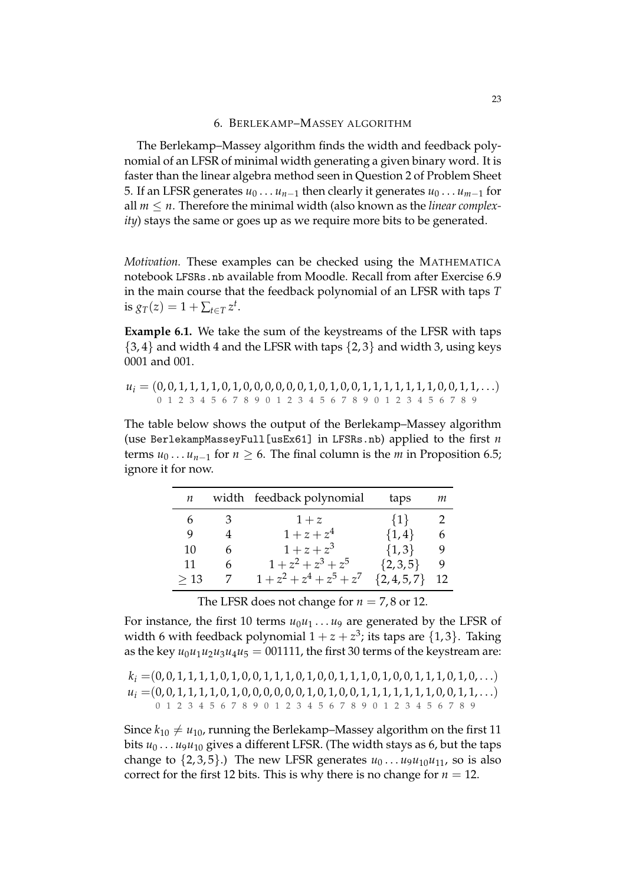#### 6. BERLEKAMP–MASSEY ALGORITHM

The Berlekamp–Massey algorithm finds the width and feedback polynomial of an LFSR of minimal width generating a given binary word. It is faster than the linear algebra method seen in Question 2 of Problem Sheet 5. If an LFSR generates  $u_0 \ldots u_{n-1}$  then clearly it generates  $u_0 \ldots u_{m-1}$  for all *m* ≤ *n*. Therefore the minimal width (also known as the *linear complexity*) stays the same or goes up as we require more bits to be generated.

*Motivation.* These examples can be checked using the MATHEMATICA notebook LFSRs.nb available from Moodle. Recall from after Exercise 6.9 in the main course that the feedback polynomial of an LFSR with taps *T* is  $g_T(z) = 1 + \sum_{t \in T} z^t$ .

**Example 6.1.** We take the sum of the keystreams of the LFSR with taps  $\{3, 4\}$  and width 4 and the LFSR with taps  $\{2, 3\}$  and width 3, using keys 0001 and 001.

$$
u_i = (0, 0, 1, 1, 1, 1, 0, 1, 0, 0, 0, 0, 0, 0, 1, 0, 1, 0, 0, 1, 1, 1, 1, 1, 1, 1, 0, 0, 1, 1, ...)
$$
  
0 1 2 3 4 5 6 7 8 9 0 1 2 3 4 5 6 7 8 9 0 1 2 3 4 5 6 7 8 9

The table below shows the output of the Berlekamp–Massey algorithm (use BerlekampMasseyFull[usEx61] in LFSRs.nb) applied to the first *n* terms  $u_0 \dots u_{n-1}$  for  $n \ge 6$ . The final column is the *m* in Proposition 6.5; ignore it for now.

| п   |   | width feedback polynomial   | taps          | т  |
|-----|---|-----------------------------|---------------|----|
| 6   | 3 | $1+z$                       | $\{1\}$       | 2  |
| 9   |   | $1 + z + z^4$               | $\{1,4\}$     | 6  |
| 10  | 6 | $1 + z + z^3$               | $\{1,3\}$     | 9  |
| 11  | 6 | $1 + z^2 + z^3 + z^5$       | $\{2,3,5\}$   | 9  |
| >13 |   | $1 + z^2 + z^4 + z^5 + z^7$ | $\{2,4,5,7\}$ | 12 |

The LFSR does not change for  $n = 7, 8$  or 12.

For instance, the first 10 terms  $u_0u_1 \ldots u_9$  are generated by the LFSR of width 6 with feedback polynomial  $1 + z + z^3$ ; its taps are  $\{1,3\}$ . Taking as the key  $u_0u_1u_2u_3u_4u_5 = 001111$ , the first 30 terms of the keystream are:

 $k_i = (0, 0, 1, 1, 1, 1, 0, 1, 0, 0, 1, 1, 1, 0, 1, 0, 0, 1, 1, 1, 0, 1, 1, 1, 0, 1, 0, 1, 1, 1, 0, 1, 0, ...)$  $u_i = (0, 0, 1, 1, 1, 1, 0, 1, 0, 0, 0, 0, 0, 1, 0, 1, 0, 0, 1, 1, 1, 1, 1, 1, 1, 0, 0, 1, 1, ...)$ 0 1 2 3 4 5 6 7 8 9 0 1 2 3 4 5 6 7 8 9 0 1 2 3 4 5 6 7 8 9

Since  $k_{10} \neq u_{10}$ , running the Berlekamp–Massey algorithm on the first 11 bits  $u_0 \dots u_9 u_{10}$  gives a different LFSR. (The width stays as 6, but the taps change to  $\{2, 3, 5\}$ .) The new LFSR generates  $u_0 \dots u_9 u_{10} u_{11}$ , so is also correct for the first 12 bits. This is why there is no change for  $n = 12$ .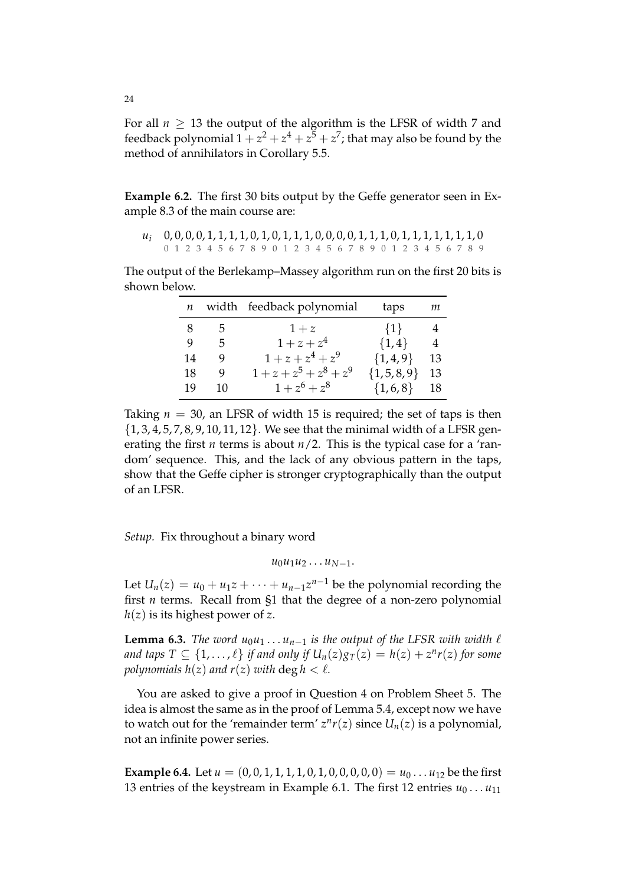For all  $n > 13$  the output of the algorithm is the LFSR of width 7 and feedback polynomial  $1 + z^2 + z^4 + z^5 + z^7$ ; that may also be found by the method of annihilators in Corollary 5.5.

**Example 6.2.** The first 30 bits output by the Geffe generator seen in Example 8.3 of the main course are:

$$
u_i \quad 0,0,0,0,1,1,1,1,0,1,0,1,1,1,0,0,0,0,1,1,1,0,1,1,1,1,1,1,1,0,00 1 2 3 4 5 6 7 8 9 0 1 2 3 4 5 6 7 8 9 0 1 2 3 4 5 6 7 8 9
$$

The output of the Berlekamp–Massey algorithm run on the first 20 bits is shown below.

|    |               | $n$ width feedback polynomial | taps             | m  |
|----|---------------|-------------------------------|------------------|----|
| 8  | $\mathcal{D}$ | $1+z$                         | $\{1\}$          | 4  |
| 9  | 5             | $1 + z + z^4$                 | $\{1,4\}$        | 4  |
| 14 | 9             | $1 + z + z^4 + z^9$           | $\{1,4,9\}$      | 13 |
| 18 | 9             | $1 + z + z^5 + z^8 + z^9$     | $\{1, 5, 8, 9\}$ | 13 |
| 19 | 10            | $1 + z^6 + z^8$               | $\{1,6,8\}$ 18   |    |

Taking  $n = 30$ , an LFSR of width 15 is required; the set of taps is then  $\{1, 3, 4, 5, 7, 8, 9, 10, 11, 12\}$ . We see that the minimal width of a LFSR generating the first *n* terms is about *n*/2. This is the typical case for a 'random' sequence. This, and the lack of any obvious pattern in the taps, show that the Geffe cipher is stronger cryptographically than the output of an LFSR.

*Setup.* Fix throughout a binary word

$$
u_0u_1u_2\ldots u_{N-1}.
$$

Let  $U_n(z) = u_0 + u_1 z + \cdots + u_{n-1} z^{n-1}$  be the polynomial recording the first *n* terms. Recall from §1 that the degree of a non-zero polynomial *h*(*z*) is its highest power of *z*.

**Lemma 6.3.** *The word*  $u_0u_1 \ldots u_{n-1}$  *is the output of the LFSR with width*  $\ell$ *and taps*  $T \subseteq \{1, ..., \ell\}$  *if and only if*  $U_n(z)g_T(z) = h(z) + z^n r(z)$  for some *polynomials*  $h(z)$  *and*  $r(z)$  *with* deg  $h < l$ .

You are asked to give a proof in Question 4 on Problem Sheet 5. The idea is almost the same as in the proof of Lemma 5.4, except now we have to watch out for the 'remainder term'  $z^n r(z)$  since  $U_n(z)$  is a polynomial, not an infinite power series.

**Example 6.4.** Let  $u = (0, 0, 1, 1, 1, 1, 0, 1, 0, 0, 0, 0, 0) = u_0 \dots u_{12}$  be the first 13 entries of the keystream in Example 6.1. The first 12 entries  $u_0 \dots u_{11}$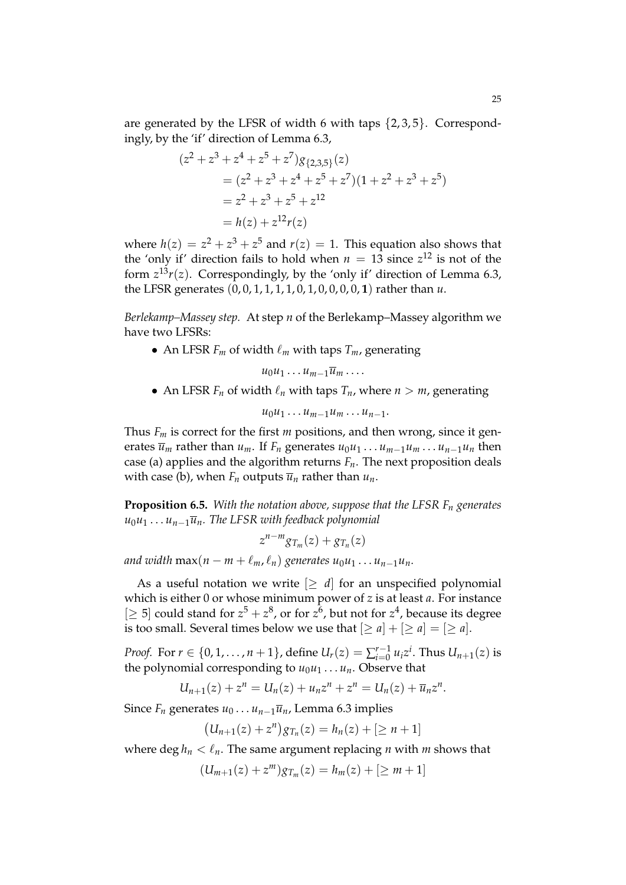are generated by the LFSR of width 6 with taps  $\{2, 3, 5\}$ . Correspondingly, by the 'if' direction of Lemma 6.3,

$$
(z2 + z3 + z4 + z5 + z7)g{2,3,5}(z)
$$
  
= (z<sup>2</sup> + z<sup>3</sup> + z<sup>4</sup> + z<sup>5</sup> + z<sup>7</sup>)(1 + z<sup>2</sup> + z<sup>3</sup> + z<sup>5</sup>)  
= z<sup>2</sup> + z<sup>3</sup> + z<sup>5</sup> + z<sup>12</sup>  
= h(z) + z<sup>12</sup>r(z)

where  $h(z) = z^2 + z^3 + z^5$  and  $r(z) = 1$ . This equation also shows that the 'only if' direction fails to hold when  $n = 13$  since  $z^{12}$  is not of the form *z* <sup>13</sup>*r*(*z*). Correspondingly, by the 'only if' direction of Lemma 6.3, the LFSR generates (0, 0, 1, 1, 1, 1, 0, 1, 0, 0, 0, 0, **1**) rather than *u*.

*Berlekamp–Massey step.* At step *n* of the Berlekamp–Massey algorithm we have two LFSRs:

• An LFSR  $F_m$  of width  $\ell_m$  with taps  $T_m$ , generating

$$
u_0u_1\ldots u_{m-1}\overline{u}_m\ldots
$$

• An LFSR  $F_n$  of width  $\ell_n$  with taps  $T_n$ , where  $n > m$ , generating

 $u_0 u_1 \ldots u_{m-1} u_m \ldots u_{n-1}.$ 

Thus  $F_m$  is correct for the first *m* positions, and then wrong, since it generates  $\overline{u}_m$  rather than  $u_m$ . If  $F_n$  generates  $u_0u_1 \ldots u_{m-1}u_m \ldots u_{n-1}u_n$  then case (a) applies and the algorithm returns *Fn*. The next proposition deals with case (b), when  $F_n$  outputs  $\overline{u}_n$  rather than  $u_n$ .

**Proposition 6.5.** *With the notation above, suppose that the LFSR F<sup>n</sup> generates*  $u_0u_1 \ldots u_{n-1}\overline{u}_n$ . The LFSR with feedback polynomial

$$
z^{n-m}g_{T_m}(z)+g_{T_n}(z)
$$

*and width*  $max(n - m + \ell_m, \ell_n)$  *generates*  $u_0u_1 \ldots u_{n-1}u_n$ .

As a useful notation we write  $\geq d$  for an unspecified polynomial which is either 0 or whose minimum power of *z* is at least *a*. For instance  $[$   $\geq$  5 $]$  could stand for  $z^5 + z^8$ , or for  $z^6$ , but not for  $z^4$ , because its degree is too small. Several times below we use that  $|> a| + |> a| = |> a$ .

*Proof.* For  $r \in \{0, 1, \ldots, n+1\}$ , define  $U_r(z) = \sum_{i=0}^{r-1}$  $U_{i=0}^{r-1} u_i z^i$ . Thus  $U_{n+1}(z)$  is the polynomial corresponding to  $u_0u_1 \ldots u_n$ . Observe that

$$
U_{n+1}(z) + z^n = U_n(z) + u_n z^n + z^n = U_n(z) + \overline{u}_n z^n.
$$

Since  $F_n$  generates  $u_0 \ldots u_{n-1} \overline{u}_n$ , Lemma 6.3 implies

$$
(U_{n+1}(z)+z^n)g_{T_n}(z)=h_n(z)+[\geq n+1]
$$

where  $\deg h_n < \ell_n$ . The same argument replacing *n* with *m* shows that

$$
(U_{m+1}(z) + z^m)g_{T_m}(z) = h_m(z) + [\geq m+1]
$$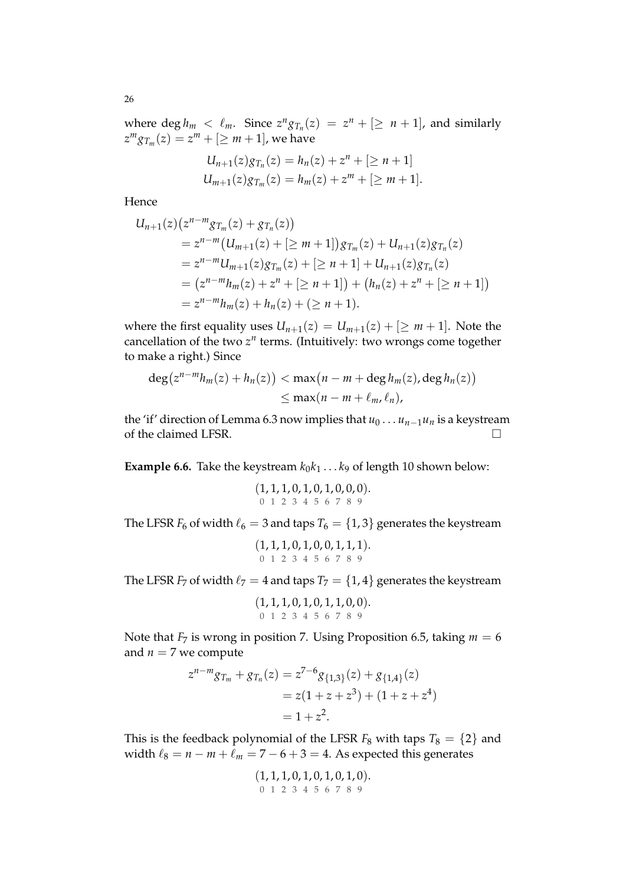where  $\deg h_m < \ell_m$ . Since  $z^n g_{T_n}(z) = z^n + [\geq n+1]$ , and similarly  $z^m g_{T_m}(z) = z^m + [\ge m + 1]$ , we have

$$
U_{n+1}(z)g_{T_n}(z) = h_n(z) + z^n + [\ge n + 1]
$$
  
\n
$$
U_{m+1}(z)g_{T_m}(z) = h_m(z) + z^m + [\ge m + 1].
$$

Hence

$$
U_{n+1}(z) (z^{n-m} g_{T_m}(z) + g_{T_n}(z))
$$
  
=  $z^{n-m} (U_{m+1}(z) + [\ge m+1]) g_{T_m}(z) + U_{n+1}(z) g_{T_n}(z)$   
=  $z^{n-m} U_{m+1}(z) g_{T_m}(z) + [\ge n+1] + U_{n+1}(z) g_{T_n}(z)$   
=  $(z^{n-m} h_m(z) + z^n + [\ge n+1]) + (h_n(z) + z^n + [\ge n+1])$   
=  $z^{n-m} h_m(z) + h_n(z) + (\ge n+1).$ 

where the first equality uses  $U_{n+1}(z) = U_{m+1}(z) + [\geq m+1]$ . Note the cancellation of the two  $z^n$  terms. (Intuitively: two wrongs come together to make a right.) Since

$$
\deg(z^{n-m}h_m(z)+h_n(z)) < \max(n-m+\deg h_m(z),\deg h_n(z))
$$
  

$$
\leq \max(n-m+\ell_m,\ell_n),
$$

the 'if' direction of Lemma 6.3 now implies that  $u_0 \ldots u_{n-1} u_n$  is a keystream of the claimed LFSR.  $\Box$ 

**Example 6.6.** Take the keystream  $k_0k_1...k_9$  of length 10 shown below:

$$
(1, 1, 1, 0, 1, 0, 1, 0, 0, 0).
$$
  
0 1 2 3 4 5 6 7 8 9

The LFSR  $F_6$  of width  $\ell_6 = 3$  and taps  $T_6 = \{1, 3\}$  generates the keystream

$$
(1, 1, 1, 0, 1, 0, 0, 1, 1, 1).
$$
  
0 1 2 3 4 5 6 7 8 9

The LFSR  $F_7$  of width  $\ell_7 = 4$  and taps  $T_7 = \{1, 4\}$  generates the keystream

$$
(1, 1, 1, 0, 1, 0, 1, 1, 0, 0).
$$
  
0 1 2 3 4 5 6 7 8 9

Note that  $F_7$  is wrong in position 7. Using Proposition 6.5, taking  $m = 6$ and  $n = 7$  we compute

$$
z^{n-m}g_{T_m} + g_{T_n}(z) = z^{7-6}g_{\{1,3\}}(z) + g_{\{1,4\}}(z)
$$
  
= z(1 + z + z<sup>3</sup>) + (1 + z + z<sup>4</sup>)  
= 1 + z<sup>2</sup>.

This is the feedback polynomial of the LFSR  $F_8$  with taps  $T_8 = \{2\}$  and width  $\ell_8 = n - m + \ell_m = 7 - 6 + 3 = 4$ . As expected this generates

$$
(1, 1, 1, 0, 1, 0, 1, 0, 1, 0).
$$
  
0 1 2 3 4 5 6 7 8 9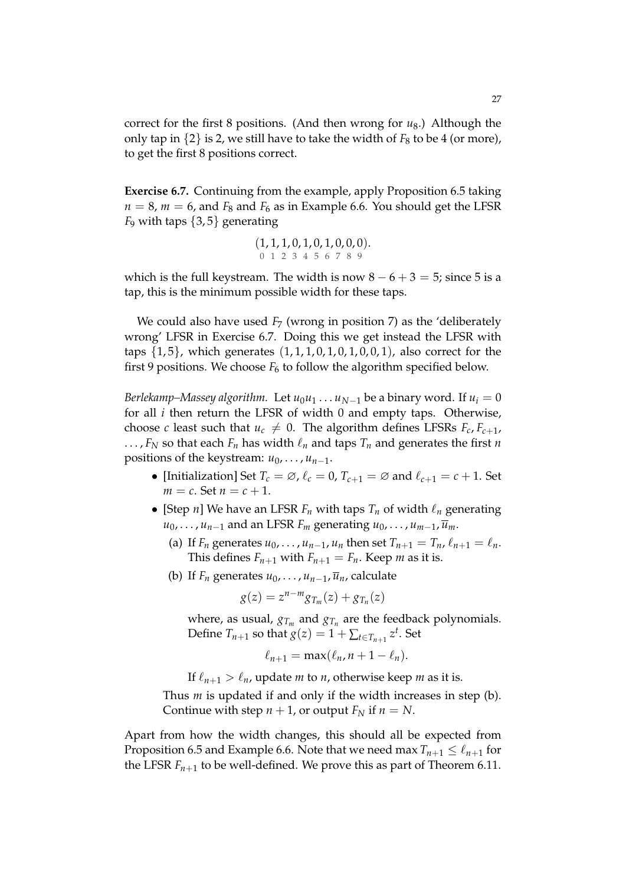correct for the first 8 positions. (And then wrong for *u*<sub>8</sub>.) Although the only tap in  $\{2\}$  is 2, we still have to take the width of  $F_8$  to be 4 (or more), to get the first 8 positions correct.

**Exercise 6.7.** Continuing from the example, apply Proposition 6.5 taking  $n = 8$ ,  $m = 6$ , and  $F_8$  and  $F_6$  as in Example 6.6. You should get the LFSR  $F_9$  with taps  $\{3, 5\}$  generating

$$
(1, 1, 1, 0, 1, 0, 1, 0, 0, 0).
$$
  
0 1 2 3 4 5 6 7 8 9

which is the full keystream. The width is now  $8 - 6 + 3 = 5$ ; since 5 is a tap, this is the minimum possible width for these taps.

We could also have used *F*<sub>7</sub> (wrong in position 7) as the 'deliberately wrong' LFSR in Exercise 6.7. Doing this we get instead the LFSR with taps  $\{1, 5\}$ , which generates  $(1, 1, 1, 0, 1, 0, 1, 0, 0, 1)$ , also correct for the first 9 positions. We choose  $F_6$  to follow the algorithm specified below.

*Berlekamp–Massey algorithm.* Let  $u_0u_1 \ldots u_{N-1}$  be a binary word. If  $u_i = 0$ for all *i* then return the LFSR of width 0 and empty taps. Otherwise, choose *c* least such that  $u_c \neq 0$ . The algorithm defines LFSRs  $F_c$ ,  $F_{c+1}$ ,  $\ldots$ ,  $F_N$  so that each  $F_n$  has width  $\ell_n$  and taps  $T_n$  and generates the first *n* positions of the keystream:  $u_0$ , . . . ,  $u_{n-1}$ .

- [Initialization] Set  $T_c = \emptyset$ ,  $\ell_c = 0$ ,  $T_{c+1} = \emptyset$  and  $\ell_{c+1} = c + 1$ . Set  $m = c$ . Set  $n = c + 1$ .
- [Step *n*] We have an LFSR  $F_n$  with taps  $T_n$  of width  $\ell_n$  generating  $u_0, \ldots, u_{n-1}$  and an LFSR  $F_m$  generating  $u_0, \ldots, u_{m-1}, \overline{u}_m$ .
	- (a) If  $F_n$  generates  $u_0, ..., u_{n-1}, u_n$  then set  $T_{n+1} = T_n$ ,  $\ell_{n+1} = \ell_n$ . This defines  $F_{n+1}$  with  $F_{n+1} = F_n$ . Keep *m* as it is.
	- (b) If  $F_n$  generates  $u_0, \ldots, u_{n-1}, \overline{u}_n$ , calculate

$$
g(z) = z^{n-m} g_{T_m}(z) + g_{T_n}(z)
$$

where, as usual,  $g_{T_m}$  and  $g_{T_n}$  are the feedback polynomials. Define  $T_{n+1}$  so that  $g(z) = 1 + \sum_{t \in T_{n+1}} z^t$ . Set

$$
\ell_{n+1} = \max(\ell_n, n+1-\ell_n).
$$

If  $\ell_{n+1} > \ell_n$ , update *m* to *n*, otherwise keep *m* as it is.

Thus *m* is updated if and only if the width increases in step (b). Continue with step  $n + 1$ , or output  $F_N$  if  $n = N$ .

Apart from how the width changes, this should all be expected from Proposition 6.5 and Example 6.6. Note that we need max  $T_{n+1} \leq \ell_{n+1}$  for the LFSR  $F_{n+1}$  to be well-defined. We prove this as part of Theorem 6.11.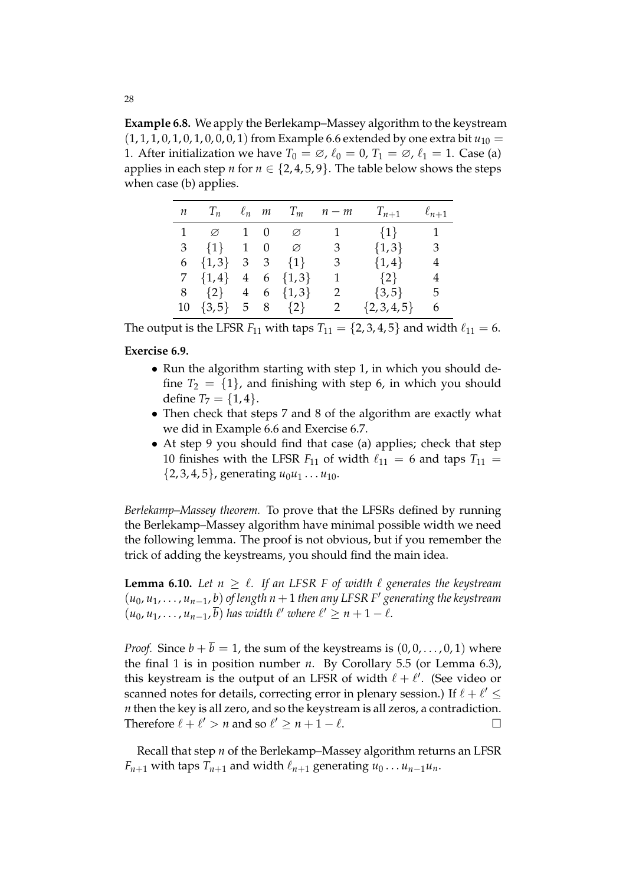**Example 6.8.** We apply the Berlekamp–Massey algorithm to the keystream  $(1, 1, 1, 0, 1, 0, 1, 0, 0, 0, 1)$  from Example 6.6 extended by one extra bit  $u_{10} =$ 1. After initialization we have  $T_0 = \emptyset$ ,  $\ell_0 = 0$ ,  $T_1 = \emptyset$ ,  $\ell_1 = 1$ . Case (a) applies in each step *n* for  $n \in \{2, 4, 5, 9\}$ . The table below shows the steps when case (b) applies.

| $n \quad T_n \quad \ell_n \quad m \quad T_m \quad n-m$  |  |                                      | $T_{n+1}$ $\ell_{n+1}$ |                 |
|---------------------------------------------------------|--|--------------------------------------|------------------------|-----------------|
| $1 \quad \varnothing \quad 1 \quad 0 \quad \varnothing$ |  | $\begin{array}{ccc} & 1 \end{array}$ | $\{1\}$ 1              |                 |
| 3 $\{1\}$ 1 0 $\varnothing$                             |  | 3                                    | $\{1,3\}$              | 3               |
| $6 \{1,3\}$ 3 3 $\{1\}$                                 |  | 3                                    | $\{1,4\}$              | 4               |
| $7 \{1,4\}$ 4 6 $\{1,3\}$                               |  | 1                                    | $\{2\}$                | 4               |
| $\{2\}$ 4 6 $\{1,3\}$                                   |  | 2                                    | $\{3,5\}$              | $5\phantom{.0}$ |
| $10 \{3,5\}$ 5 8 $\{2\}$                                |  | 2                                    | $\{2,3,4,5\}$          | 6               |

The output is the LFSR  $F_{11}$  with taps  $T_{11} = \{2, 3, 4, 5\}$  and width  $\ell_{11} = 6$ .

**Exercise 6.9.**

- Run the algorithm starting with step 1, in which you should define  $T_2 = \{1\}$ , and finishing with step 6, in which you should define  $T_7 = \{1, 4\}.$
- Then check that steps 7 and 8 of the algorithm are exactly what we did in Example 6.6 and Exercise 6.7.
- At step 9 you should find that case (a) applies; check that step 10 finishes with the LFSR  $F_{11}$  of width  $\ell_{11} = 6$  and taps  $T_{11} =$  $\{2, 3, 4, 5\}$ , generating  $u_0u_1 \ldots u_{10}$ .

*Berlekamp–Massey theorem.* To prove that the LFSRs defined by running the Berlekamp–Massey algorithm have minimal possible width we need the following lemma. The proof is not obvious, but if you remember the trick of adding the keystreams, you should find the main idea.

**Lemma 6.10.** *Let*  $n \geq \ell$ . *If an LFSR F of width*  $\ell$  generates the keystream  $(u_0, u_1, \ldots, u_{n-1}, b)$  of length  $n+1$  then any LFSR F' generating the keystream  $(u_0, u_1, \ldots, u_{n-1}, \overline{b})$  *has width*  $\ell'$  *where*  $\ell' \geq n+1-\ell$ *.* 

*Proof.* Since  $b + \overline{b} = 1$ , the sum of the keystreams is  $(0, 0, \ldots, 0, 1)$  where the final 1 is in position number *n*. By Corollary 5.5 (or Lemma 6.3), this keystream is the output of an LFSR of width  $\ell + \ell'$ . (See video or scanned notes for details, correcting error in plenary session.) If  $\ell + \ell' \leq$ *n* then the key is all zero, and so the keystream is all zeros, a contradiction. Therefore  $\ell + \ell' > n$  and so  $\ell' \geq n + 1 - \ell$ .

Recall that step *n* of the Berlekamp–Massey algorithm returns an LFSR *F*<sub>*n*+1</sub> with taps *T*<sub>*n*+1</sub> and width  $\ell_{n+1}$  generating  $u_0 \ldots u_{n-1}u_n$ .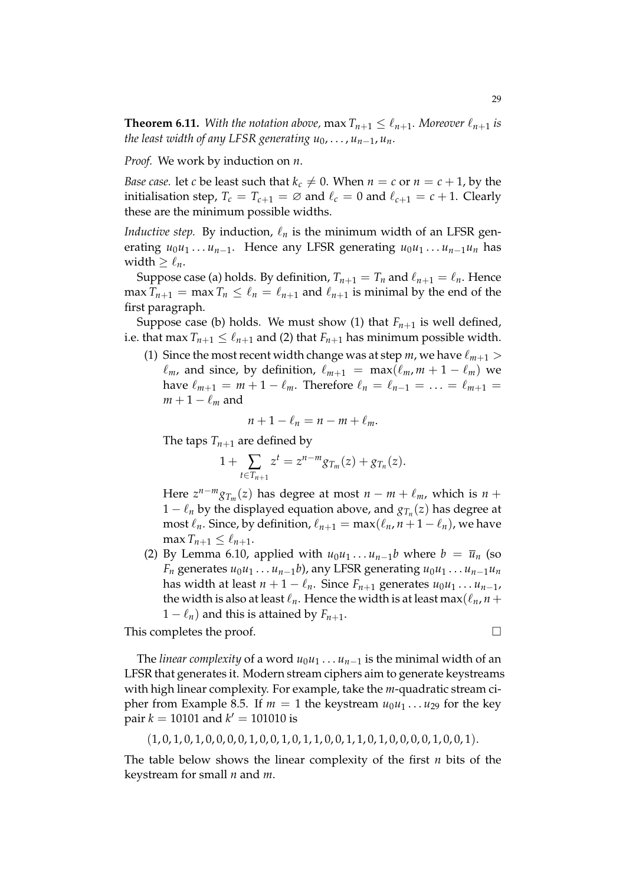**Theorem 6.11.** *With the notation above,* max  $T_{n+1} \leq \ell_{n+1}$ *. Moreover*  $\ell_{n+1}$  *is the least width of any LFSR generating*  $u_0, \ldots, u_{n-1}, u_n$ *.* 

*Proof.* We work by induction on *n*.

*Base case.* let *c* be least such that  $k_c \neq 0$ . When  $n = c$  or  $n = c + 1$ , by the initialisation step,  $T_c = T_{c+1} = \emptyset$  and  $\ell_c = 0$  and  $\ell_{c+1} = c + 1$ . Clearly these are the minimum possible widths.

*Inductive step.* By induction,  $\ell_n$  is the minimum width of an LFSR generating  $u_0u_1 \ldots u_{n-1}$ . Hence any LFSR generating  $u_0u_1 \ldots u_{n-1}u_n$  has width  $> l_n$ .

Suppose case (a) holds. By definition,  $T_{n+1} = T_n$  and  $\ell_{n+1} = \ell_n$ . Hence  $\max T_{n+1} = \max T_n \leq \ell_n = \ell_{n+1}$  and  $\ell_{n+1}$  is minimal by the end of the first paragraph.

Suppose case (b) holds. We must show (1) that  $F_{n+1}$  is well defined, i.e. that max  $T_{n+1} \leq \ell_{n+1}$  and (2) that  $F_{n+1}$  has minimum possible width.

(1) Since the most recent width change was at step  $m$ , we have  $\ell_{m+1}$  >  $\ell_m$ , and since, by definition,  $\ell_{m+1} = \max(\ell_m, m + 1 - \ell_m)$  we have  $\ell_{m+1} = m + 1 - \ell_m$ . Therefore  $\ell_n = \ell_{n-1} = ... = \ell_{m+1} =$  $m + 1 - \ell_m$  and

$$
n+1-\ell_n=n-m+\ell_m.
$$

The taps  $T_{n+1}$  are defined by

$$
1 + \sum_{t \in T_{n+1}} z^t = z^{n-m} g_{T_m}(z) + g_{T_n}(z).
$$

Here  $z^{n-m}g_{T_m}(z)$  has degree at most  $n - m + \ell_m$ , which is  $n + \ell_m$  $1 - \ell_n$  by the displayed equation above, and  $g_{T_n}(z)$  has degree at most  $\ell_n$ . Since, by definition,  $\ell_{n+1} = \max(\ell_n, n + 1 - \ell_n)$ , we have  $\max T_{n+1} \leq \ell_{n+1}.$ 

(2) By Lemma 6.10, applied with  $u_0u_1 \ldots u_{n-1}b$  where  $b = \overline{u}_n$  (so  $F_n$  generates  $u_0u_1 \ldots u_{n-1}v$ , any LFSR generating  $u_0u_1 \ldots u_{n-1}u_n$ has width at least  $n + 1 - \ell_n$ . Since  $F_{n+1}$  generates  $u_0u_1 \ldots u_{n-1}$ , the width is also at least  $\ell_n$ . Hence the width is at least max( $\ell_n$ , *n* +  $1 - \ell_n$ ) and this is attained by  $F_{n+1}$ .

This completes the proof.

The *linear complexity* of a word  $u_0u_1 \ldots u_{n-1}$  is the minimal width of an LFSR that generates it. Modern stream ciphers aim to generate keystreams with high linear complexity. For example, take the *m*-quadratic stream cipher from Example 8.5. If  $m = 1$  the keystream  $u_0u_1 \ldots u_{29}$  for the key pair  $k = 10101$  and  $k' = 101010$  is

 $(1, 0, 1, 0, 1, 0, 0, 0, 0, 1, 0, 0, 1, 0, 1, 1, 0, 0, 1, 1, 0, 1, 0, 0, 0, 0, 1, 0, 0, 1).$ 

The table below shows the linear complexity of the first *n* bits of the keystream for small *n* and *m*.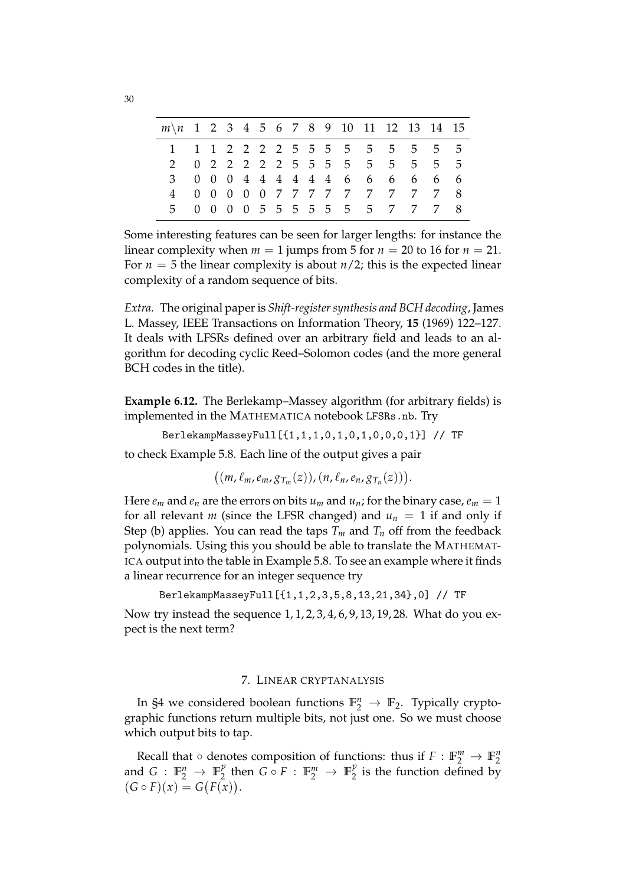| $m \n\mid n$ 1 2 3 4 5 6 7 8 9 10 11 12 13 14 15 |  |  |  |  |  |  |                                 |  |
|--------------------------------------------------|--|--|--|--|--|--|---------------------------------|--|
| 1 1 1 2 2 2 2 5 5 5 5 5 5 5 5 5 5                |  |  |  |  |  |  |                                 |  |
| 2 0 2 2 2 2 2 5 5 5 5 5 5 5 5 5 5                |  |  |  |  |  |  |                                 |  |
| 3 0 0 0 4 4 4 4 4 4 6 6 6 6 6 6 6                |  |  |  |  |  |  |                                 |  |
|                                                  |  |  |  |  |  |  | 4 0 0 0 0 0 7 7 7 7 7 7 7 7 7 8 |  |
| 5 0 0 0 0 5 5 5 5 5 5 5 7 7 7 8                  |  |  |  |  |  |  |                                 |  |

Some interesting features can be seen for larger lengths: for instance the linear complexity when  $m = 1$  jumps from 5 for  $n = 20$  to 16 for  $n = 21$ . For  $n = 5$  the linear complexity is about  $n/2$ ; this is the expected linear complexity of a random sequence of bits.

*Extra.* The original paper is *Shift-register synthesis and BCH decoding*, James L. Massey, IEEE Transactions on Information Theory, **15** (1969) 122–127. It deals with LFSRs defined over an arbitrary field and leads to an algorithm for decoding cyclic Reed–Solomon codes (and the more general BCH codes in the title).

**Example 6.12.** The Berlekamp–Massey algorithm (for arbitrary fields) is implemented in the MATHEMATICA notebook LFSRs.nb. Try

BerlekampMasseyFull[{1,1,1,0,1,0,1,0,0,0,1}] // TF

to check Example 5.8. Each line of the output gives a pair

$$
((m,\ell_m,\ell_m,g_{T_m}(z)),(n,\ell_n,\ell_n,g_{T_n}(z))).
$$

Here  $e_m$  and  $e_n$  are the errors on bits  $u_m$  and  $u_n$ ; for the binary case,  $e_m = 1$ for all relevant *m* (since the LFSR changed) and  $u_n = 1$  if and only if Step (b) applies. You can read the taps  $T_m$  and  $T_n$  off from the feedback polynomials. Using this you should be able to translate the MATHEMAT-ICA output into the table in Example 5.8. To see an example where it finds a linear recurrence for an integer sequence try

BerlekampMasseyFull[{1,1,2,3,5,8,13,21,34},0] // TF

Now try instead the sequence 1, 1, 2, 3, 4, 6, 9, 13, 19, 28. What do you expect is the next term?

### 7. LINEAR CRYPTANALYSIS

In §4 we considered boolean functions  $\mathbb{F}_2^n \to \mathbb{F}_2$ . Typically cryptographic functions return multiple bits, not just one. So we must choose which output bits to tap.

Recall that  $\circ$  denotes composition of functions: thus if  $F : \mathbb{F}_2^m \to \mathbb{F}_2^n$ and  $G$  :  $\mathbb{F}_2^n \rightarrow \mathbb{F}_2^p$  $P_2^p$  then  $G \circ F : \mathbb{F}_2^m \to \mathbb{F}_2^p$  $\frac{p}{2}$  is the function defined by  $(G \circ F)(x) = G(F(x)).$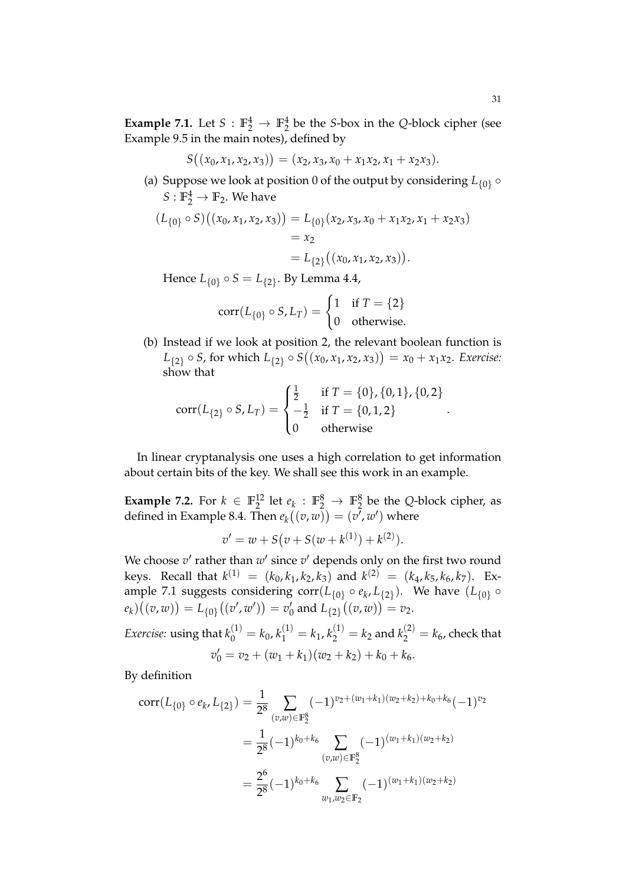**Example 7.1.** Let  $S : \mathbb{F}_2^4 \to \mathbb{F}_2^4$  be the *S*-box in the *Q*-block cipher (see Example 9.5 in the main notes), defined by

$$
S((x_0,x_1,x_2,x_3)) = (x_2,x_3,x_0+x_1x_2,x_1+x_2x_3).
$$

(a) Suppose we look at position 0 of the output by considering *L*{0} ◦  $S: \mathbb{F}_2^4 \to \mathbb{F}_2$ . We have

$$
(L_{\{0\}} \circ S) ((x_0, x_1, x_2, x_3)) = L_{\{0\}} (x_2, x_3, x_0 + x_1 x_2, x_1 + x_2 x_3)
$$
  
= x<sub>2</sub>  
= L\_{\{2\}} ((x\_0, x\_1, x\_2, x\_3)).

Hence *L*{0} ◦ *S* = *L*{2} . By Lemma 4.4,

$$
corr(L_{\{0\}} \circ S, L_T) = \begin{cases} 1 & \text{if } T = \{2\} \\ 0 & \text{otherwise.} \end{cases}
$$

(b) Instead if we look at position 2, the relevant boolean function is *L*<sub>{2}</sub> ◦ *S*, for which *L*<sub>{2}</sub> ◦ *S*((*x*<sub>0</sub>, *x*<sub>1</sub>, *x*<sub>2</sub>, *x*<sub>3</sub>)) = *x*<sub>0</sub> + *x*<sub>1</sub>*x*<sub>2</sub>. *Exercise*: show that

$$
corr(L_{\{2\}} \circ S, L_T) = \begin{cases} \frac{1}{2} & \text{if } T = \{0\}, \{0, 1\}, \{0, 2\} \\ -\frac{1}{2} & \text{if } T = \{0, 1, 2\} \\ 0 & \text{otherwise} \end{cases}
$$

In linear cryptanalysis one uses a high correlation to get information about certain bits of the key. We shall see this work in an example.

**Example 7.2.** For  $k \in \mathbb{F}_2^{12}$  let  $e_k : \mathbb{F}_2^8 \to \mathbb{F}_2^8$  be the *Q*-block cipher, as defined in Example 8.4. Then  $e_k((v,w)) = (v^7,w^7)$  where

$$
v' = w + S(v + S(w + k^{(1)}) + k^{(2)}).
$$

We choose  $v'$  rather than  $w'$  since  $v'$  depends only on the first two round keys. Recall that  $k^{(1)} = (k_0, k_1, k_2, k_3)$  and  $k^{(2)} = (k_4, k_5, k_6, k_7)$ . Example 7.1 suggests considering  $corr(L_{\{0\}} \circ e_k, L_{\{2\}})$ . We have  $(L_{\{0\}} \circ$  $e_k$ )  $((v, w)) = L_{\{0\}}((v', w')) = v'_{\{0\}}$  $U_0'$  and  $L_{\{2\}}((v,w)) = v_2.$ 

*Exercise:* using that  $k_0^{(1)} = k_0$ ,  $k_1^{(1)} = k_1$ ,  $k_2^{(1)} = k_2$  and  $k_2^{(2)} = k_6$ , check that  $v'_0 = v_2 + (w_1 + k_1)(w_2 + k_2) + k_0 + k_6.$ 

By definition

$$
corr(L_{\{0\}} \circ e_k, L_{\{2\}}) = \frac{1}{2^8} \sum_{(v,w)\in \mathbb{F}_2^8} (-1)^{v_2 + (w_1 + k_1)(w_2 + k_2) + k_0 + k_6} (-1)^{v_2}
$$
  

$$
= \frac{1}{2^8} (-1)^{k_0 + k_6} \sum_{(v,w)\in \mathbb{F}_2^8} (-1)^{(w_1 + k_1)(w_2 + k_2)}
$$
  

$$
= \frac{2^6}{2^8} (-1)^{k_0 + k_6} \sum_{w_1, w_2 \in \mathbb{F}_2} (-1)^{(w_1 + k_1)(w_2 + k_2)}
$$

.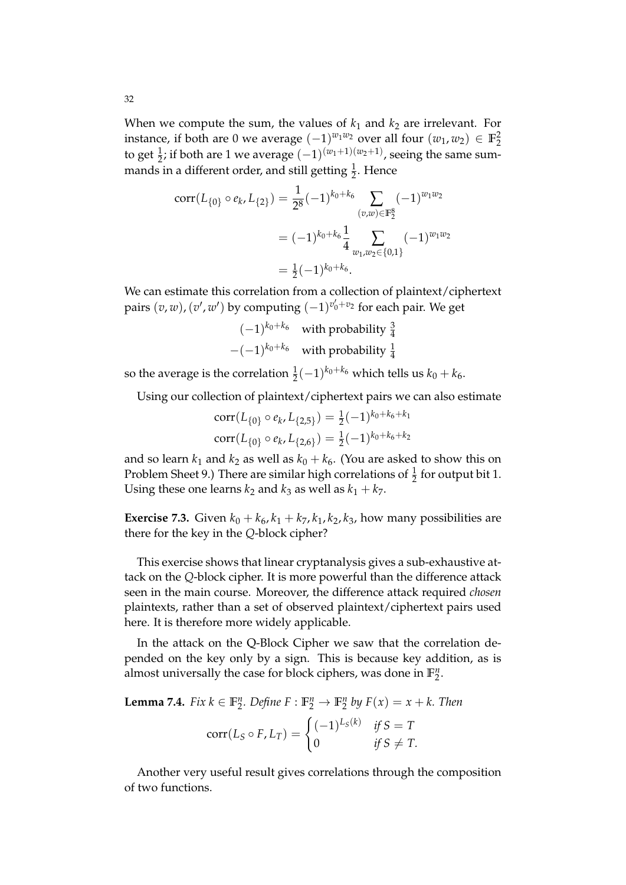When we compute the sum, the values of  $k_1$  and  $k_2$  are irrelevant. For instance, if both are 0 we average  $(-1)^{w_1w_2}$  over all four  $(w_1, w_2) \in \mathbb{F}_2^2$ to get  $\frac{1}{2}$ ; if both are 1 we average  $(-1)^{(w_1+1)(w_2+1)}$ , seeing the same summands in a different order, and still getting  $\frac{1}{2}$ . Hence

$$
corr(L_{\{0\}} \circ e_k, L_{\{2\}}) = \frac{1}{2^8}(-1)^{k_0 + k_6} \sum_{(v,w) \in \mathbb{F}_2^8} (-1)^{w_1 w_2}
$$
  
=  $(-1)^{k_0 + k_6} \frac{1}{4} \sum_{w_1, w_2 \in \{0,1\}} (-1)^{w_1 w_2}$   
=  $\frac{1}{2}(-1)^{k_0 + k_6}$ .

We can estimate this correlation from a collection of plaintext/ciphertext pairs  $(v, w)$ ,  $(v', w')$  by computing  $(-1)^{v'_0+v_2}$  for each pair. We get

| $(-1)^{k_0+k_6}$  | with probability $\frac{3}{4}$ |
|-------------------|--------------------------------|
| $-(-1)^{k_0+k_6}$ | with probability $\frac{1}{4}$ |

so the average is the correlation  $\frac{1}{2}(-1)^{k_0+k_6}$  which tells us  $k_0 + k_6$ .

Using our collection of plaintext/ciphertext pairs we can also estimate

$$
corr(L_{\{0\}} \circ e_k, L_{\{2,5\}}) = \frac{1}{2}(-1)^{k_0 + k_6 + k_1}
$$

$$
corr(L_{\{0\}} \circ e_k, L_{\{2,6\}}) = \frac{1}{2}(-1)^{k_0 + k_6 + k_2}
$$

and so learn  $k_1$  and  $k_2$  as well as  $k_0 + k_6$ . (You are asked to show this on Problem Sheet 9.) There are similar high correlations of  $\frac{1}{2}$  for output bit 1. Using these one learns  $k_2$  and  $k_3$  as well as  $k_1 + k_7$ .

**Exercise 7.3.** Given  $k_0 + k_6$ ,  $k_1 + k_7$ ,  $k_1$ ,  $k_2$ ,  $k_3$ , how many possibilities are there for the key in the *Q*-block cipher?

This exercise shows that linear cryptanalysis gives a sub-exhaustive attack on the *Q*-block cipher. It is more powerful than the difference attack seen in the main course. Moreover, the difference attack required *chosen* plaintexts, rather than a set of observed plaintext/ciphertext pairs used here. It is therefore more widely applicable.

In the attack on the Q-Block Cipher we saw that the correlation depended on the key only by a sign. This is because key addition, as is almost universally the case for block ciphers, was done in  $\mathbb{F}_2^n$ .

**Lemma 7.4.** *Fix*  $k \in \mathbb{F}_2^n$ *. Define*  $F : \mathbb{F}_2^n \to \mathbb{F}_2^n$  by  $F(x) = x + k$ *. Then*  $corr(L_S \circ F, L_T) = \begin{cases} (-1)^{L_S(k)} & \text{if } S = T \\ 0 & \text{if } S \neq T \end{cases}$ 0 *if*  $S \neq T$ .

Another very useful result gives correlations through the composition of two functions.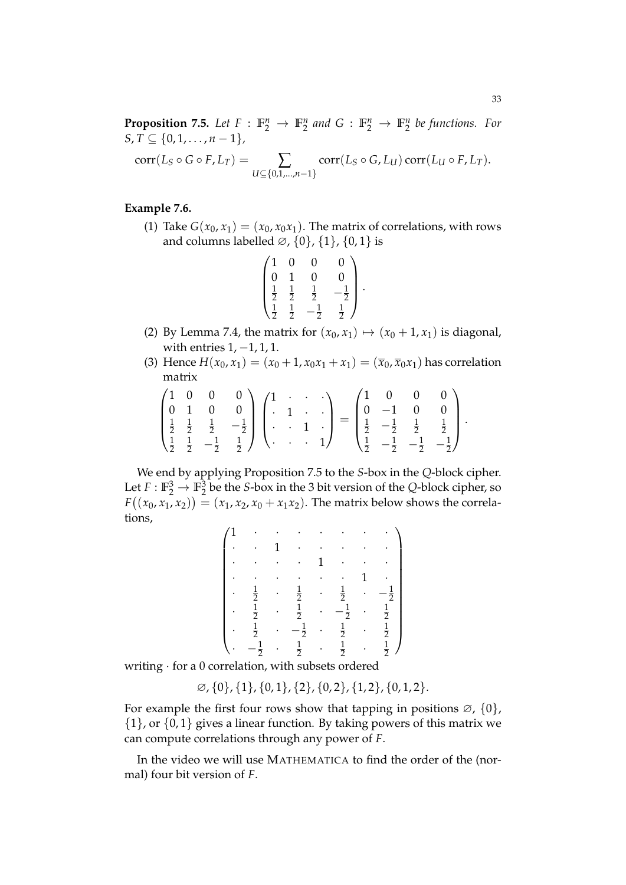**Proposition 7.5.** Let  $F : \mathbb{F}_2^n \to \mathbb{F}_2^n$  and  $G : \mathbb{F}_2^n \to \mathbb{F}_2^n$  be functions. For *S*, *T* ⊆ {0, 1, . . . , *n* − 1},

$$
corr(L_S \circ G \circ F, L_T) = \sum_{U \subseteq \{0,1,\dots,n-1\}} corr(L_S \circ G, L_U) corr(L_U \circ F, L_T).
$$

### **Example 7.6.**

(1) Take  $G(x_0, x_1) = (x_0, x_0, x_1)$ . The matrix of correlations, with rows and columns labelled  $\varnothing$ ,  $\{0\}$ ,  $\{1\}$ ,  $\{0,1\}$  is

$$
\begin{pmatrix} 1 & 0 & 0 & 0 \ 0 & 1 & 0 & 0 \ \frac{1}{2} & \frac{1}{2} & \frac{1}{2} & -\frac{1}{2} \\ \frac{1}{2} & \frac{1}{2} & -\frac{1}{2} & \frac{1}{2} \end{pmatrix}.
$$

- (2) By Lemma 7.4, the matrix for  $(x_0, x_1) \mapsto (x_0 + 1, x_1)$  is diagonal, with entries  $1, -1, 1, 1$ .
- (3) Hence  $H(x_0, x_1) = (x_0 + 1, x_0x_1 + x_1) = (\overline{x}_0, \overline{x}_0x_1)$  has correlation matrix

|  |  |  |  |  |  | $\begin{pmatrix} 1 & 0 & 0 & 0 \\ 0 & 1 & 0 & 0 \\ \frac{1}{2} & \frac{1}{2} & \frac{1}{2} & -\frac{1}{2} \\ \frac{1}{2} & \frac{1}{2} & -\frac{1}{2} & \frac{1}{2} \end{pmatrix} \begin{pmatrix} 1 & \cdot & \cdot & \cdot \\ \cdot & 1 & \cdot & \cdot \\ \cdot & \cdot & 1 & \cdot \\ \cdot & \cdot & \cdot & 1 \end{pmatrix} = \begin{pmatrix} 1 & 0 & 0 & 0 \\ 0 & -1 & 0 & 0 \\ \frac{1}{2} & -\frac{1}{2} & \frac{1}{2} & \frac{1$ |  |
|--|--|--|--|--|--|-------------------------------------------------------------------------------------------------------------------------------------------------------------------------------------------------------------------------------------------------------------------------------------------------------------------------------------------------------------------------------------------------------------------------------------------|--|
|  |  |  |  |  |  |                                                                                                                                                                                                                                                                                                                                                                                                                                           |  |

We end by applying Proposition 7.5 to the *S*-box in the *Q*-block cipher. Let  $F: \mathbb{F}_2^3 \to \mathbb{F}_2^3$  be the *S*-box in the 3 bit version of the *Q*-block cipher, so  $F((x_0, x_1, x_2)) = (x_1, x_2, x_0 + x_1 x_2)$ . The matrix below shows the correlations,

| $\frac{1}{2}$       | $\frac{1}{2}$  | $\frac{1}{2}$  | $\frac{1}{2}$           |
|---------------------|----------------|----------------|-------------------------|
| $\frac{1}{2}$       | $\frac{1}{2}$  | $-\frac{1}{2}$ | $\frac{1}{2}$           |
| $\frac{1}{2}$       | $-\frac{1}{2}$ | $\frac{1}{2}$  |                         |
| $\cdot \frac{1}{2}$ | $\frac{1}{2}$  | $\frac{1}{2}$  | $rac{1}{2}$ $rac{1}{2}$ |

writing · for a 0 correlation, with subsets ordered

$$
\emptyset, \{0\}, \{1\}, \{0,1\}, \{2\}, \{0,2\}, \{1,2\}, \{0,1,2\}.
$$

For example the first four rows show that tapping in positions  $\varnothing$ ,  $\{0\}$ ,  $\{1\}$ , or  $\{0,1\}$  gives a linear function. By taking powers of this matrix we can compute correlations through any power of *F*.

In the video we will use MATHEMATICA to find the order of the (normal) four bit version of *F*.